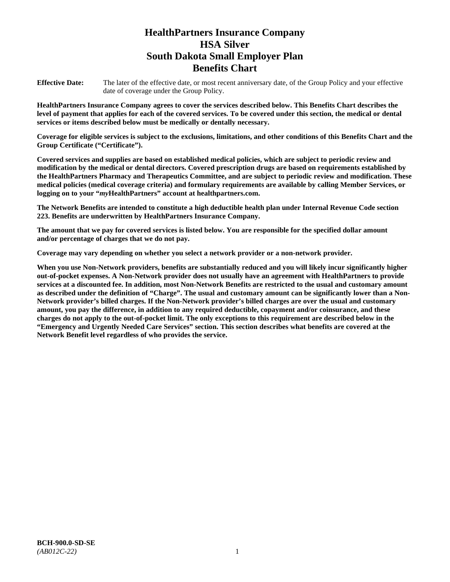# **HealthPartners Insurance Company HSA Silver South Dakota Small Employer Plan Benefits Chart**

**Effective Date:** The later of the effective date, or most recent anniversary date, of the Group Policy and your effective date of coverage under the Group Policy.

**HealthPartners Insurance Company agrees to cover the services described below. This Benefits Chart describes the level of payment that applies for each of the covered services. To be covered under this section, the medical or dental services or items described below must be medically or dentally necessary.**

**Coverage for eligible services is subject to the exclusions, limitations, and other conditions of this Benefits Chart and the Group Certificate ("Certificate").**

**Covered services and supplies are based on established medical policies, which are subject to periodic review and modification by the medical or dental directors. Covered prescription drugs are based on requirements established by the HealthPartners Pharmacy and Therapeutics Committee, and are subject to periodic review and modification. These medical policies (medical coverage criteria) and formulary requirements are available by calling Member Services, or logging on to your "***my***HealthPartners" account at [healthpartners.com.](file://isntmacsrv0/www.healthpartners.com)**

**The Network Benefits are intended to constitute a high deductible health plan under Internal Revenue Code section 223. Benefits are underwritten by HealthPartners Insurance Company.**

**The amount that we pay for covered services is listed below. You are responsible for the specified dollar amount and/or percentage of charges that we do not pay.**

**Coverage may vary depending on whether you select a network provider or a non-network provider.**

**When you use Non-Network providers, benefits are substantially reduced and you will likely incur significantly higher out-of-pocket expenses. A Non-Network provider does not usually have an agreement with HealthPartners to provide services at a discounted fee. In addition, most Non-Network Benefits are restricted to the usual and customary amount as described under the definition of "Charge". The usual and customary amount can be significantly lower than a Non-Network provider's billed charges. If the Non-Network provider's billed charges are over the usual and customary amount, you pay the difference, in addition to any required deductible, copayment and/or coinsurance, and these charges do not apply to the out-of-pocket limit. The only exceptions to this requirement are described below in the "Emergency and Urgently Needed Care Services" section. This section describes what benefits are covered at the Network Benefit level regardless of who provides the service.**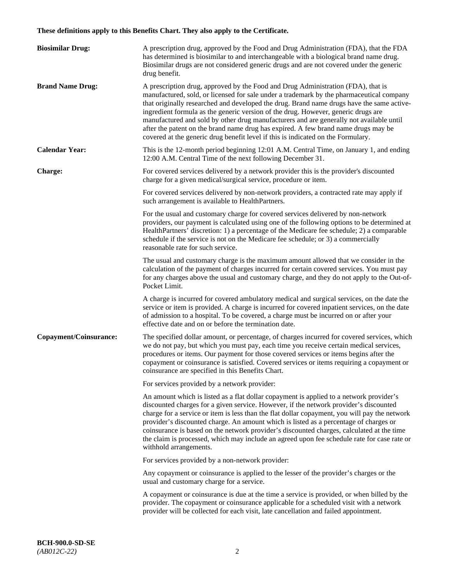# **These definitions apply to this Benefits Chart. They also apply to the Certificate.**

| <b>Biosimilar Drug:</b> | A prescription drug, approved by the Food and Drug Administration (FDA), that the FDA<br>has determined is biosimilar to and interchangeable with a biological brand name drug.<br>Biosimilar drugs are not considered generic drugs and are not covered under the generic<br>drug benefit.                                                                                                                                                                                                                                                                                                                                         |
|-------------------------|-------------------------------------------------------------------------------------------------------------------------------------------------------------------------------------------------------------------------------------------------------------------------------------------------------------------------------------------------------------------------------------------------------------------------------------------------------------------------------------------------------------------------------------------------------------------------------------------------------------------------------------|
| <b>Brand Name Drug:</b> | A prescription drug, approved by the Food and Drug Administration (FDA), that is<br>manufactured, sold, or licensed for sale under a trademark by the pharmaceutical company<br>that originally researched and developed the drug. Brand name drugs have the same active-<br>ingredient formula as the generic version of the drug. However, generic drugs are<br>manufactured and sold by other drug manufacturers and are generally not available until<br>after the patent on the brand name drug has expired. A few brand name drugs may be<br>covered at the generic drug benefit level if this is indicated on the Formulary. |
| <b>Calendar Year:</b>   | This is the 12-month period beginning 12:01 A.M. Central Time, on January 1, and ending<br>12:00 A.M. Central Time of the next following December 31.                                                                                                                                                                                                                                                                                                                                                                                                                                                                               |
| <b>Charge:</b>          | For covered services delivered by a network provider this is the provider's discounted<br>charge for a given medical/surgical service, procedure or item.                                                                                                                                                                                                                                                                                                                                                                                                                                                                           |
|                         | For covered services delivered by non-network providers, a contracted rate may apply if<br>such arrangement is available to HealthPartners.                                                                                                                                                                                                                                                                                                                                                                                                                                                                                         |
|                         | For the usual and customary charge for covered services delivered by non-network<br>providers, our payment is calculated using one of the following options to be determined at<br>HealthPartners' discretion: 1) a percentage of the Medicare fee schedule; 2) a comparable<br>schedule if the service is not on the Medicare fee schedule; or 3) a commercially<br>reasonable rate for such service.                                                                                                                                                                                                                              |
|                         | The usual and customary charge is the maximum amount allowed that we consider in the<br>calculation of the payment of charges incurred for certain covered services. You must pay<br>for any charges above the usual and customary charge, and they do not apply to the Out-of-<br>Pocket Limit.                                                                                                                                                                                                                                                                                                                                    |
|                         | A charge is incurred for covered ambulatory medical and surgical services, on the date the<br>service or item is provided. A charge is incurred for covered inpatient services, on the date<br>of admission to a hospital. To be covered, a charge must be incurred on or after your<br>effective date and on or before the termination date.                                                                                                                                                                                                                                                                                       |
| Copayment/Coinsurance:  | The specified dollar amount, or percentage, of charges incurred for covered services, which<br>we do not pay, but which you must pay, each time you receive certain medical services,<br>procedures or items. Our payment for those covered services or items begins after the<br>copayment or coinsurance is satisfied. Covered services or items requiring a copayment or<br>coinsurance are specified in this Benefits Chart.                                                                                                                                                                                                    |
|                         | For services provided by a network provider:                                                                                                                                                                                                                                                                                                                                                                                                                                                                                                                                                                                        |
|                         | An amount which is listed as a flat dollar copayment is applied to a network provider's<br>discounted charges for a given service. However, if the network provider's discounted<br>charge for a service or item is less than the flat dollar copayment, you will pay the network<br>provider's discounted charge. An amount which is listed as a percentage of charges or<br>coinsurance is based on the network provider's discounted charges, calculated at the time<br>the claim is processed, which may include an agreed upon fee schedule rate for case rate or<br>withhold arrangements.                                    |
|                         | For services provided by a non-network provider:                                                                                                                                                                                                                                                                                                                                                                                                                                                                                                                                                                                    |
|                         | Any copayment or coinsurance is applied to the lesser of the provider's charges or the<br>usual and customary charge for a service.                                                                                                                                                                                                                                                                                                                                                                                                                                                                                                 |
|                         | A copayment or coinsurance is due at the time a service is provided, or when billed by the<br>provider. The copayment or coinsurance applicable for a scheduled visit with a network<br>provider will be collected for each visit, late cancellation and failed appointment.                                                                                                                                                                                                                                                                                                                                                        |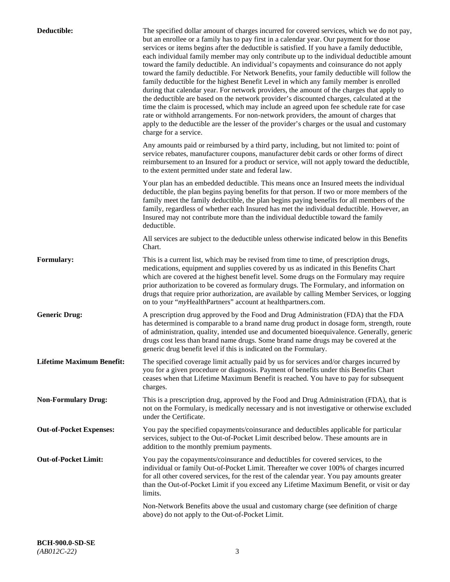| Deductible:                      | The specified dollar amount of charges incurred for covered services, which we do not pay,<br>but an enrollee or a family has to pay first in a calendar year. Our payment for those<br>services or items begins after the deductible is satisfied. If you have a family deductible,<br>each individual family member may only contribute up to the individual deductible amount<br>toward the family deductible. An individual's copayments and coinsurance do not apply<br>toward the family deductible. For Network Benefits, your family deductible will follow the<br>family deductible for the highest Benefit Level in which any family member is enrolled<br>during that calendar year. For network providers, the amount of the charges that apply to<br>the deductible are based on the network provider's discounted charges, calculated at the<br>time the claim is processed, which may include an agreed upon fee schedule rate for case<br>rate or withhold arrangements. For non-network providers, the amount of charges that<br>apply to the deductible are the lesser of the provider's charges or the usual and customary<br>charge for a service. |
|----------------------------------|------------------------------------------------------------------------------------------------------------------------------------------------------------------------------------------------------------------------------------------------------------------------------------------------------------------------------------------------------------------------------------------------------------------------------------------------------------------------------------------------------------------------------------------------------------------------------------------------------------------------------------------------------------------------------------------------------------------------------------------------------------------------------------------------------------------------------------------------------------------------------------------------------------------------------------------------------------------------------------------------------------------------------------------------------------------------------------------------------------------------------------------------------------------------|
|                                  | Any amounts paid or reimbursed by a third party, including, but not limited to: point of<br>service rebates, manufacturer coupons, manufacturer debit cards or other forms of direct<br>reimbursement to an Insured for a product or service, will not apply toward the deductible,<br>to the extent permitted under state and federal law.                                                                                                                                                                                                                                                                                                                                                                                                                                                                                                                                                                                                                                                                                                                                                                                                                            |
|                                  | Your plan has an embedded deductible. This means once an Insured meets the individual<br>deductible, the plan begins paying benefits for that person. If two or more members of the<br>family meet the family deductible, the plan begins paying benefits for all members of the<br>family, regardless of whether each Insured has met the individual deductible. However, an<br>Insured may not contribute more than the individual deductible toward the family<br>deductible.                                                                                                                                                                                                                                                                                                                                                                                                                                                                                                                                                                                                                                                                                       |
|                                  | All services are subject to the deductible unless otherwise indicated below in this Benefits<br>Chart.                                                                                                                                                                                                                                                                                                                                                                                                                                                                                                                                                                                                                                                                                                                                                                                                                                                                                                                                                                                                                                                                 |
| <b>Formulary:</b>                | This is a current list, which may be revised from time to time, of prescription drugs,<br>medications, equipment and supplies covered by us as indicated in this Benefits Chart<br>which are covered at the highest benefit level. Some drugs on the Formulary may require<br>prior authorization to be covered as formulary drugs. The Formulary, and information on<br>drugs that require prior authorization, are available by calling Member Services, or logging<br>on to your "myHealthPartners" account at healthpartners.com.                                                                                                                                                                                                                                                                                                                                                                                                                                                                                                                                                                                                                                  |
| <b>Generic Drug:</b>             | A prescription drug approved by the Food and Drug Administration (FDA) that the FDA<br>has determined is comparable to a brand name drug product in dosage form, strength, route<br>of administration, quality, intended use and documented bioequivalence. Generally, generic<br>drugs cost less than brand name drugs. Some brand name drugs may be covered at the<br>generic drug benefit level if this is indicated on the Formulary.                                                                                                                                                                                                                                                                                                                                                                                                                                                                                                                                                                                                                                                                                                                              |
| <b>Lifetime Maximum Benefit:</b> | The specified coverage limit actually paid by us for services and/or charges incurred by<br>you for a given procedure or diagnosis. Payment of benefits under this Benefits Chart<br>ceases when that Lifetime Maximum Benefit is reached. You have to pay for subsequent<br>charges.                                                                                                                                                                                                                                                                                                                                                                                                                                                                                                                                                                                                                                                                                                                                                                                                                                                                                  |
| <b>Non-Formulary Drug:</b>       | This is a prescription drug, approved by the Food and Drug Administration (FDA), that is<br>not on the Formulary, is medically necessary and is not investigative or otherwise excluded<br>under the Certificate.                                                                                                                                                                                                                                                                                                                                                                                                                                                                                                                                                                                                                                                                                                                                                                                                                                                                                                                                                      |
| <b>Out-of-Pocket Expenses:</b>   | You pay the specified copayments/coinsurance and deductibles applicable for particular<br>services, subject to the Out-of-Pocket Limit described below. These amounts are in<br>addition to the monthly premium payments.                                                                                                                                                                                                                                                                                                                                                                                                                                                                                                                                                                                                                                                                                                                                                                                                                                                                                                                                              |
| <b>Out-of-Pocket Limit:</b>      | You pay the copayments/coinsurance and deductibles for covered services, to the<br>individual or family Out-of-Pocket Limit. Thereafter we cover 100% of charges incurred<br>for all other covered services, for the rest of the calendar year. You pay amounts greater<br>than the Out-of-Pocket Limit if you exceed any Lifetime Maximum Benefit, or visit or day<br>limits.                                                                                                                                                                                                                                                                                                                                                                                                                                                                                                                                                                                                                                                                                                                                                                                         |
|                                  | Non-Network Benefits above the usual and customary charge (see definition of charge<br>above) do not apply to the Out-of-Pocket Limit.                                                                                                                                                                                                                                                                                                                                                                                                                                                                                                                                                                                                                                                                                                                                                                                                                                                                                                                                                                                                                                 |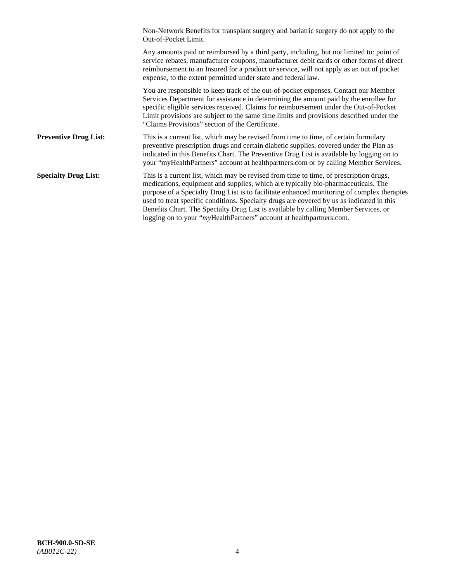|                              | Non-Network Benefits for transplant surgery and bariatric surgery do not apply to the<br>Out-of-Pocket Limit.                                                                                                                                                                                                                                                                                                                                                                                                                         |
|------------------------------|---------------------------------------------------------------------------------------------------------------------------------------------------------------------------------------------------------------------------------------------------------------------------------------------------------------------------------------------------------------------------------------------------------------------------------------------------------------------------------------------------------------------------------------|
|                              | Any amounts paid or reimbursed by a third party, including, but not limited to: point of<br>service rebates, manufacturer coupons, manufacturer debit cards or other forms of direct<br>reimbursement to an Insured for a product or service, will not apply as an out of pocket<br>expense, to the extent permitted under state and federal law.                                                                                                                                                                                     |
|                              | You are responsible to keep track of the out-of-pocket expenses. Contact our Member<br>Services Department for assistance in determining the amount paid by the enrollee for<br>specific eligible services received. Claims for reimbursement under the Out-of-Pocket<br>Limit provisions are subject to the same time limits and provisions described under the<br>"Claims Provisions" section of the Certificate.                                                                                                                   |
| <b>Preventive Drug List:</b> | This is a current list, which may be revised from time to time, of certain formulary<br>preventive prescription drugs and certain diabetic supplies, covered under the Plan as<br>indicated in this Benefits Chart. The Preventive Drug List is available by logging on to<br>your "myHealthPartners" account at healthpartners.com or by calling Member Services.                                                                                                                                                                    |
| <b>Specialty Drug List:</b>  | This is a current list, which may be revised from time to time, of prescription drugs,<br>medications, equipment and supplies, which are typically bio-pharmaceuticals. The<br>purpose of a Specialty Drug List is to facilitate enhanced monitoring of complex therapies<br>used to treat specific conditions. Specialty drugs are covered by us as indicated in this<br>Benefits Chart. The Specialty Drug List is available by calling Member Services, or<br>logging on to your "myHealthPartners" account at healthpartners.com. |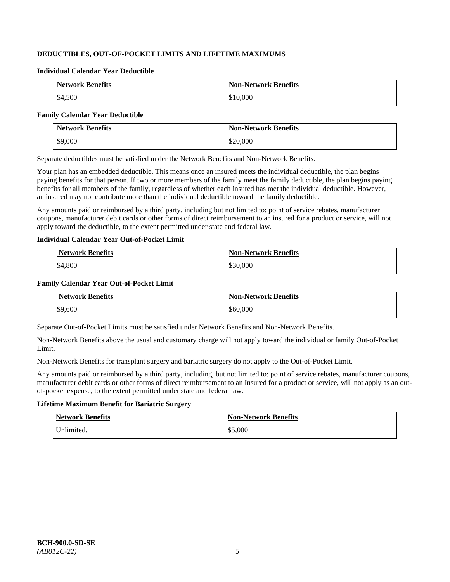# **DEDUCTIBLES, OUT-OF-POCKET LIMITS AND LIFETIME MAXIMUMS**

#### **Individual Calendar Year Deductible**

| <b>Network Benefits</b> | <b>Non-Network Benefits</b> |
|-------------------------|-----------------------------|
| \$4,500                 | \$10,000                    |

#### **Family Calendar Year Deductible**

| <b>Network Benefits</b> | <b>Non-Network Benefits</b> |
|-------------------------|-----------------------------|
| \$9,000                 | \$20,000                    |

Separate deductibles must be satisfied under the Network Benefits and Non-Network Benefits.

Your plan has an embedded deductible. This means once an insured meets the individual deductible, the plan begins paying benefits for that person. If two or more members of the family meet the family deductible, the plan begins paying benefits for all members of the family, regardless of whether each insured has met the individual deductible. However, an insured may not contribute more than the individual deductible toward the family deductible.

Any amounts paid or reimbursed by a third party, including but not limited to: point of service rebates, manufacturer coupons, manufacturer debit cards or other forms of direct reimbursement to an insured for a product or service, will not apply toward the deductible, to the extent permitted under state and federal law.

#### **Individual Calendar Year Out-of-Pocket Limit**

| <b>Network Benefits</b> | <b>Non-Network Benefits</b> |
|-------------------------|-----------------------------|
| \$4,800                 | \$30,000                    |

# **Family Calendar Year Out-of-Pocket Limit**

| <b>Network Benefits</b> | <b>Non-Network Benefits</b> |
|-------------------------|-----------------------------|
| \$9,600                 | \$60,000                    |

Separate Out-of-Pocket Limits must be satisfied under Network Benefits and Non-Network Benefits.

Non-Network Benefits above the usual and customary charge will not apply toward the individual or family Out-of-Pocket Limit.

Non-Network Benefits for transplant surgery and bariatric surgery do not apply to the Out-of-Pocket Limit.

Any amounts paid or reimbursed by a third party, including, but not limited to: point of service rebates, manufacturer coupons, manufacturer debit cards or other forms of direct reimbursement to an Insured for a product or service, will not apply as an outof-pocket expense, to the extent permitted under state and federal law.

# **Lifetime Maximum Benefit for Bariatric Surgery**

| <b>Network Benefits</b> | <b>Non-Network Benefits</b> |
|-------------------------|-----------------------------|
| Unlimited.              | \$5,000                     |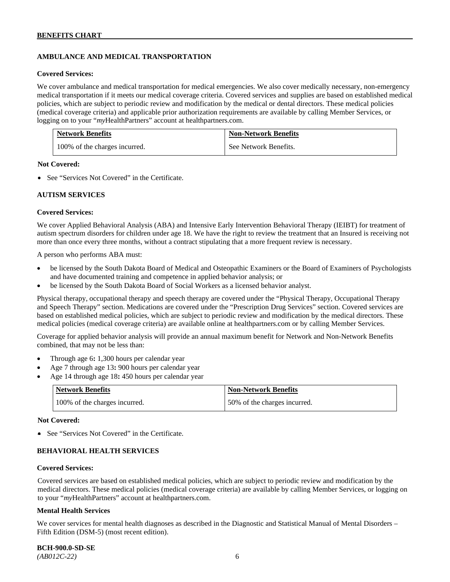# **AMBULANCE AND MEDICAL TRANSPORTATION**

#### **Covered Services:**

We cover ambulance and medical transportation for medical emergencies. We also cover medically necessary, non-emergency medical transportation if it meets our medical coverage criteria. Covered services and supplies are based on established medical policies, which are subject to periodic review and modification by the medical or dental directors. These medical policies (medical coverage criteria) and applicable prior authorization requirements are available by calling Member Services, or logging on to your "*my*HealthPartners" account at [healthpartners.com.](http://healthpartners.com/)

| <b>Network Benefits</b>       | <b>Non-Network Benefits</b> |
|-------------------------------|-----------------------------|
| 100% of the charges incurred. | See Network Benefits.       |

#### **Not Covered:**

• See "Services Not Covered" in the Certificate.

#### **AUTISM SERVICES**

#### **Covered Services:**

We cover Applied Behavioral Analysis (ABA) and Intensive Early Intervention Behavioral Therapy (IEIBT) for treatment of autism spectrum disorders for children under age 18. We have the right to review the treatment that an Insured is receiving not more than once every three months, without a contract stipulating that a more frequent review is necessary.

A person who performs ABA must:

- be licensed by the South Dakota Board of Medical and Osteopathic Examiners or the Board of Examiners of Psychologists and have documented training and competence in applied behavior analysis; or
- be licensed by the South Dakota Board of Social Workers as a licensed behavior analyst.

Physical therapy, occupational therapy and speech therapy are covered under the "Physical Therapy, Occupational Therapy and Speech Therapy" section. Medications are covered under the "Prescription Drug Services" section. Covered services are based on established medical policies, which are subject to periodic review and modification by the medical directors. These medical policies (medical coverage criteria) are available online at [healthpartners.com](http://healthpartners.com/) or by calling Member Services.

Coverage for applied behavior analysis will provide an annual maximum benefit for Network and Non-Network Benefits combined, that may not be less than:

- Through age 6**:** 1,300 hours per calendar year
- Age 7 through age 13**:** 900 hours per calendar year
- Age 14 through age 18**:** 450 hours per calendar year

| <b>Network Benefits</b>       | <b>Non-Network Benefits</b>  |
|-------------------------------|------------------------------|
| 100% of the charges incurred. | 50% of the charges incurred. |

#### **Not Covered:**

• See "Services Not Covered" in the Certificate.

# **BEHAVIORAL HEALTH SERVICES**

#### **Covered Services:**

Covered services are based on established medical policies, which are subject to periodic review and modification by the medical directors. These medical policies (medical coverage criteria) are available by calling Member Services, or logging on to your "*my*HealthPartners" account at [healthpartners.com.](http://healthpartners.com/)

#### **Mental Health Services**

We cover services for mental health diagnoses as described in the Diagnostic and Statistical Manual of Mental Disorders – Fifth Edition (DSM-5) (most recent edition).

**BCH-900.0-SD-SE**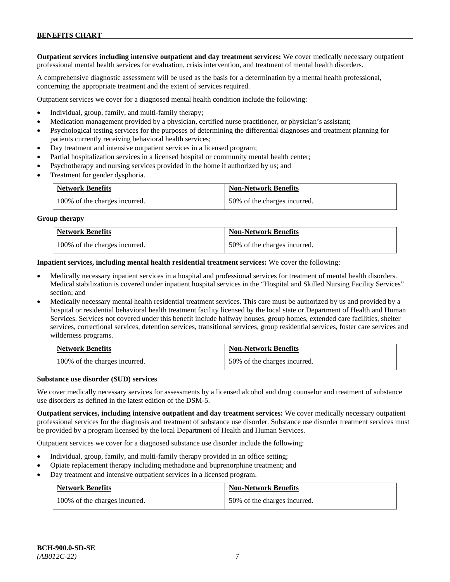**Outpatient services including intensive outpatient and day treatment services:** We cover medically necessary outpatient professional mental health services for evaluation, crisis intervention, and treatment of mental health disorders.

A comprehensive diagnostic assessment will be used as the basis for a determination by a mental health professional, concerning the appropriate treatment and the extent of services required.

Outpatient services we cover for a diagnosed mental health condition include the following:

- Individual, group, family, and multi-family therapy;
- Medication management provided by a physician, certified nurse practitioner, or physician's assistant;
- Psychological testing services for the purposes of determining the differential diagnoses and treatment planning for patients currently receiving behavioral health services;
- Day treatment and intensive outpatient services in a licensed program;
- Partial hospitalization services in a licensed hospital or community mental health center;
- Psychotherapy and nursing services provided in the home if authorized by us; and
- Treatment for gender dysphoria.

| <b>Network Benefits</b>       | <b>Non-Network Benefits</b>  |
|-------------------------------|------------------------------|
| 100% of the charges incurred. | 50% of the charges incurred. |

#### **Group therapy**

| <b>Network Benefits</b>       | <b>Non-Network Benefits</b>  |
|-------------------------------|------------------------------|
| 100% of the charges incurred. | 50% of the charges incurred. |

**Inpatient services, including mental health residential treatment services:** We cover the following:

- Medically necessary inpatient services in a hospital and professional services for treatment of mental health disorders. Medical stabilization is covered under inpatient hospital services in the "Hospital and Skilled Nursing Facility Services" section; and
- Medically necessary mental health residential treatment services. This care must be authorized by us and provided by a hospital or residential behavioral health treatment facility licensed by the local state or Department of Health and Human Services. Services not covered under this benefit include halfway houses, group homes, extended care facilities, shelter services, correctional services, detention services, transitional services, group residential services, foster care services and wilderness programs.

| <b>Network Benefits</b>       | <b>Non-Network Benefits</b>  |
|-------------------------------|------------------------------|
| 100% of the charges incurred. | 50% of the charges incurred. |

#### **Substance use disorder (SUD) services**

We cover medically necessary services for assessments by a licensed alcohol and drug counselor and treatment of substance use disorders as defined in the latest edition of the DSM-5.

**Outpatient services, including intensive outpatient and day treatment services:** We cover medically necessary outpatient professional services for the diagnosis and treatment of substance use disorder. Substance use disorder treatment services must be provided by a program licensed by the local Department of Health and Human Services.

Outpatient services we cover for a diagnosed substance use disorder include the following:

- Individual, group, family, and multi-family therapy provided in an office setting;
- Opiate replacement therapy including methadone and buprenorphine treatment; and
- Day treatment and intensive outpatient services in a licensed program.

| <b>Network Benefits</b>       | <b>Non-Network Benefits</b>  |
|-------------------------------|------------------------------|
| 100% of the charges incurred. | 50% of the charges incurred. |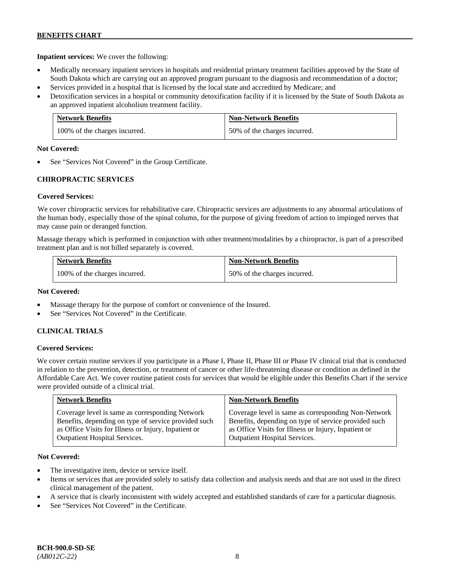**Inpatient services:** We cover the following:

- Medically necessary inpatient services in hospitals and residential primary treatment facilities approved by the State of South Dakota which are carrying out an approved program pursuant to the diagnosis and recommendation of a doctor;
- Services provided in a hospital that is licensed by the local state and accredited by Medicare; and
- Detoxification services in a hospital or community detoxification facility if it is licensed by the State of South Dakota as an approved inpatient alcoholism treatment facility.

| <b>Network Benefits</b>       | <b>Non-Network Benefits</b>  |
|-------------------------------|------------------------------|
| 100% of the charges incurred. | 50% of the charges incurred. |

#### **Not Covered:**

See "Services Not Covered" in the Group Certificate.

# **CHIROPRACTIC SERVICES**

# **Covered Services:**

We cover chiropractic services for rehabilitative care. Chiropractic services are adjustments to any abnormal articulations of the human body, especially those of the spinal column, for the purpose of giving freedom of action to impinged nerves that may cause pain or deranged function.

Massage therapy which is performed in conjunction with other treatment/modalities by a chiropractor, is part of a prescribed treatment plan and is not billed separately is covered.

| <b>Network Benefits</b>       | <b>Non-Network Benefits</b>  |
|-------------------------------|------------------------------|
| 100% of the charges incurred. | 50% of the charges incurred. |

### **Not Covered:**

- Massage therapy for the purpose of comfort or convenience of the Insured.
- See "Services Not Covered" in the Certificate.

# **CLINICAL TRIALS**

# **Covered Services:**

We cover certain routine services if you participate in a Phase I, Phase II, Phase III or Phase IV clinical trial that is conducted in relation to the prevention, detection, or treatment of cancer or other life-threatening disease or condition as defined in the Affordable Care Act. We cover routine patient costs for services that would be eligible under this Benefits Chart if the service were provided outside of a clinical trial.

| <b>Network Benefits</b>                              | <b>Non-Network Benefits</b>                          |
|------------------------------------------------------|------------------------------------------------------|
| Coverage level is same as corresponding Network      | Coverage level is same as corresponding Non-Network  |
| Benefits, depending on type of service provided such | Benefits, depending on type of service provided such |
| as Office Visits for Illness or Injury, Inpatient or | as Office Visits for Illness or Injury, Inpatient or |
| <b>Outpatient Hospital Services.</b>                 | Outpatient Hospital Services.                        |

# **Not Covered:**

- The investigative item, device or service itself.
- Items or services that are provided solely to satisfy data collection and analysis needs and that are not used in the direct clinical management of the patient.
- A service that is clearly inconsistent with widely accepted and established standards of care for a particular diagnosis.
- See "Services Not Covered" in the Certificate.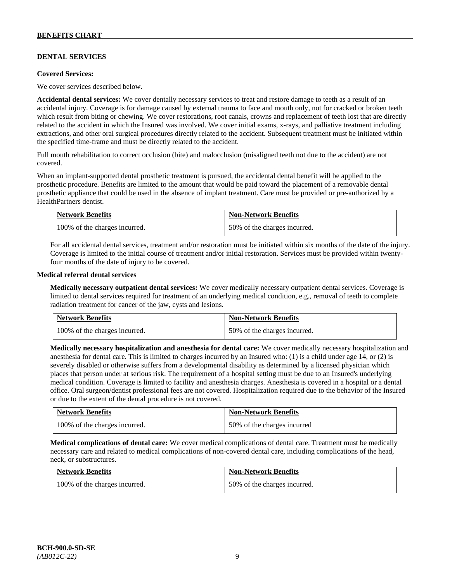# **DENTAL SERVICES**

#### **Covered Services:**

We cover services described below.

**Accidental dental services:** We cover dentally necessary services to treat and restore damage to teeth as a result of an accidental injury. Coverage is for damage caused by external trauma to face and mouth only, not for cracked or broken teeth which result from biting or chewing. We cover restorations, root canals, crowns and replacement of teeth lost that are directly related to the accident in which the Insured was involved. We cover initial exams, x-rays, and palliative treatment including extractions, and other oral surgical procedures directly related to the accident. Subsequent treatment must be initiated within the specified time-frame and must be directly related to the accident.

Full mouth rehabilitation to correct occlusion (bite) and malocclusion (misaligned teeth not due to the accident) are not covered.

When an implant-supported dental prosthetic treatment is pursued, the accidental dental benefit will be applied to the prosthetic procedure. Benefits are limited to the amount that would be paid toward the placement of a removable dental prosthetic appliance that could be used in the absence of implant treatment. Care must be provided or pre-authorized by a HealthPartners dentist.

| <b>Network Benefits</b>       | <b>Non-Network Benefits</b>  |
|-------------------------------|------------------------------|
| 100% of the charges incurred. | 50% of the charges incurred. |

For all accidental dental services, treatment and/or restoration must be initiated within six months of the date of the injury. Coverage is limited to the initial course of treatment and/or initial restoration. Services must be provided within twentyfour months of the date of injury to be covered.

#### **Medical referral dental services**

**Medically necessary outpatient dental services:** We cover medically necessary outpatient dental services. Coverage is limited to dental services required for treatment of an underlying medical condition, e.g., removal of teeth to complete radiation treatment for cancer of the jaw, cysts and lesions.

| <b>Network Benefits</b>       | <b>Non-Network Benefits</b>  |
|-------------------------------|------------------------------|
| 100% of the charges incurred. | 50% of the charges incurred. |

**Medically necessary hospitalization and anesthesia for dental care:** We cover medically necessary hospitalization and anesthesia for dental care. This is limited to charges incurred by an Insured who: (1) is a child under age 14, or (2) is severely disabled or otherwise suffers from a developmental disability as determined by a licensed physician which places that person under at serious risk. The requirement of a hospital setting must be due to an Insured's underlying medical condition. Coverage is limited to facility and anesthesia charges. Anesthesia is covered in a hospital or a dental office. Oral surgeon/dentist professional fees are not covered. Hospitalization required due to the behavior of the Insured or due to the extent of the dental procedure is not covered.

| <b>Network Benefits</b>       | <b>Non-Network Benefits</b> |
|-------------------------------|-----------------------------|
| 100% of the charges incurred. | 50% of the charges incurred |

**Medical complications of dental care:** We cover medical complications of dental care. Treatment must be medically necessary care and related to medical complications of non-covered dental care, including complications of the head, neck, or substructures.

| <b>Network Benefits</b>       | <b>Non-Network Benefits</b>  |
|-------------------------------|------------------------------|
| 100% of the charges incurred. | 50% of the charges incurred. |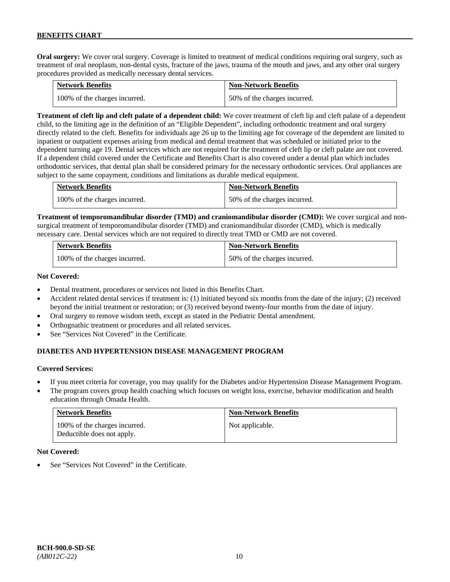**Oral surgery:** We cover oral surgery. Coverage is limited to treatment of medical conditions requiring oral surgery, such as treatment of oral neoplasm, non-dental cysts, fracture of the jaws, trauma of the mouth and jaws, and any other oral surgery procedures provided as medically necessary dental services.

| <b>Network Benefits</b>       | <b>Non-Network Benefits</b>  |
|-------------------------------|------------------------------|
| 100% of the charges incurred. | 50% of the charges incurred. |

**Treatment of cleft lip and cleft palate of a dependent child:** We cover treatment of cleft lip and cleft palate of a dependent child, to the limiting age in the definition of an "Eligible Dependent", including orthodontic treatment and oral surgery directly related to the cleft. Benefits for individuals age 26 up to the limiting age for coverage of the dependent are limited to inpatient or outpatient expenses arising from medical and dental treatment that was scheduled or initiated prior to the dependent turning age 19. Dental services which are not required for the treatment of cleft lip or cleft palate are not covered. If a dependent child covered under the Certificate and Benefits Chart is also covered under a dental plan which includes orthodontic services, that dental plan shall be considered primary for the necessary orthodontic services. Oral appliances are subject to the same copayment, conditions and limitations as durable medical equipment.

| <b>Network Benefits</b>       | <b>Non-Network Benefits</b>  |
|-------------------------------|------------------------------|
| 100% of the charges incurred. | 50% of the charges incurred. |

**Treatment of temporomandibular disorder (TMD) and craniomandibular disorder (CMD):** We cover surgical and nonsurgical treatment of temporomandibular disorder (TMD) and craniomandibular disorder (CMD), which is medically necessary care. Dental services which are not required to directly treat TMD or CMD are not covered.

| <b>Network Benefits</b>       | <b>Non-Network Benefits</b>  |
|-------------------------------|------------------------------|
| 100% of the charges incurred. | 50% of the charges incurred. |

#### **Not Covered:**

- Dental treatment, procedures or services not listed in this Benefits Chart.
- Accident related dental services if treatment is: (1) initiated beyond six months from the date of the injury; (2) received beyond the initial treatment or restoration; or (3) received beyond twenty-four months from the date of injury.
- Oral surgery to remove wisdom teeth, except as stated in the Pediatric Dental amendment.
- Orthognathic treatment or procedures and all related services.
- See "Services Not Covered" in the Certificate.

# **DIABETES AND HYPERTENSION DISEASE MANAGEMENT PROGRAM**

# **Covered Services:**

- If you meet criteria for coverage, you may qualify for the Diabetes and/or Hypertension Disease Management Program.
- The program covers group health coaching which focuses on weight loss, exercise, behavior modification and health education through Omada Health.

| <b>Network Benefits</b>                                     | <b>Non-Network Benefits</b> |
|-------------------------------------------------------------|-----------------------------|
| 100% of the charges incurred.<br>Deductible does not apply. | Not applicable.             |

#### **Not Covered:**

See "Services Not Covered" in the Certificate.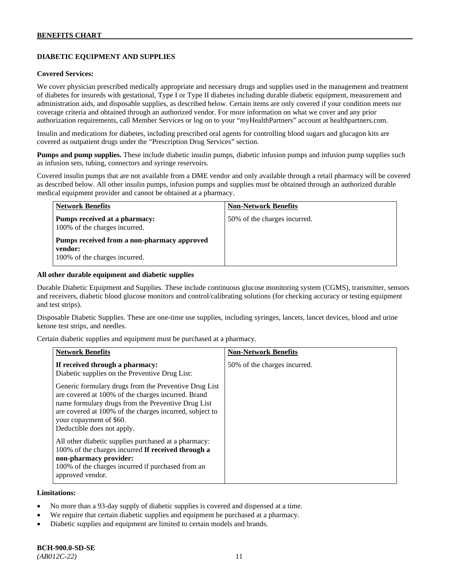# **DIABETIC EQUIPMENT AND SUPPLIES**

#### **Covered Services:**

We cover physician prescribed medically appropriate and necessary drugs and supplies used in the management and treatment of diabetes for insureds with gestational, Type I or Type II diabetes including durable diabetic equipment, measurement and administration aids, and disposable supplies, as described below. Certain items are only covered if your condition meets our coverage criteria and obtained through an authorized vendor. For more information on what we cover and any prior authorization requirements, call Member Services or log on to your "myHealthPartners" account at [healthpartners.com.](http://www.healthpartners.com/)

Insulin and medications for diabetes, including prescribed oral agents for controlling blood sugars and glucagon kits are covered as outpatient drugs under the "Prescription Drug Services" section.

**Pumps and pump supplies.** These include diabetic insulin pumps, diabetic infusion pumps and infusion pump supplies such as infusion sets, tubing, connectors and syringe reservoirs.

Covered insulin pumps that are not available from a DME vendor and only available through a retail pharmacy will be covered as described below. All other insulin pumps, infusion pumps and supplies must be obtained through an authorized durable medical equipment provider and cannot be obtained at a pharmacy.

| <b>Network Benefits</b>                                                                 | <b>Non-Network Benefits</b>  |
|-----------------------------------------------------------------------------------------|------------------------------|
| Pumps received at a pharmacy:<br>100% of the charges incurred.                          | 50% of the charges incurred. |
| Pumps received from a non-pharmacy approved<br>vendor:<br>100% of the charges incurred. |                              |

#### **All other durable equipment and diabetic supplies**

Durable Diabetic Equipment and Supplies. These include continuous glucose monitoring system (CGMS), transmitter, sensors and receivers, diabetic blood glucose monitors and control/calibrating solutions (for checking accuracy or testing equipment and test strips).

Disposable Diabetic Supplies. These are one-time use supplies, including syringes, lancets, lancet devices, blood and urine ketone test strips, and needles.

Certain diabetic supplies and equipment must be purchased at a pharmacy.

| <b>Network Benefits</b>                                                                                                                                                                                                                                                               | <b>Non-Network Benefits</b>  |
|---------------------------------------------------------------------------------------------------------------------------------------------------------------------------------------------------------------------------------------------------------------------------------------|------------------------------|
| If received through a pharmacy:<br>Diabetic supplies on the Preventive Drug List:                                                                                                                                                                                                     | 50% of the charges incurred. |
| Generic formulary drugs from the Preventive Drug List<br>are covered at 100% of the charges incurred. Brand<br>name formulary drugs from the Preventive Drug List<br>are covered at 100% of the charges incurred, subject to<br>your copayment of \$60.<br>Deductible does not apply. |                              |
| All other diabetic supplies purchased at a pharmacy:<br>100% of the charges incurred If received through a<br>non-pharmacy provider:<br>100% of the charges incurred if purchased from an<br>approved vendor.                                                                         |                              |

#### **Limitations:**

- No more than a 93-day supply of diabetic supplies is covered and dispensed at a time.
- We require that certain diabetic supplies and equipment be purchased at a pharmacy.
- Diabetic supplies and equipment are limited to certain models and brands.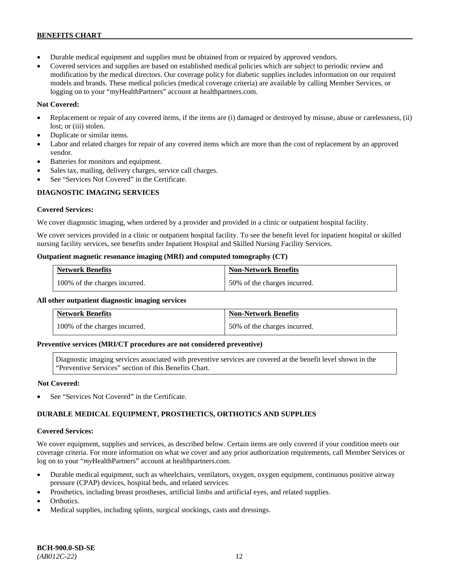- Durable medical equipment and supplies must be obtained from or repaired by approved vendors.
- Covered services and supplies are based on established medical policies which are subject to periodic review and modification by the medical directors. Our coverage policy for diabetic supplies includes information on our required models and brands. These medical policies (medical coverage criteria) are available by calling Member Services, or logging on to your "myHealthPartners" account at [healthpartners.com.](http://www.healthpartners.com/)

# **Not Covered:**

- Replacement or repair of any covered items, if the items are (i) damaged or destroyed by misuse, abuse or carelessness, (ii) lost; or (iii) stolen.
- Duplicate or similar items.
- Labor and related charges for repair of any covered items which are more than the cost of replacement by an approved vendor.
- Batteries for monitors and equipment.
- Sales tax, mailing, delivery charges, service call charges.
- See "Services Not Covered" in the Certificate.

# **DIAGNOSTIC IMAGING SERVICES**

# **Covered Services:**

We cover diagnostic imaging, when ordered by a provider and provided in a clinic or outpatient hospital facility.

We cover services provided in a clinic or outpatient hospital facility. To see the benefit level for inpatient hospital or skilled nursing facility services, see benefits under Inpatient Hospital and Skilled Nursing Facility Services.

# **Outpatient magnetic resonance imaging (MRI) and computed tomography (CT)**

| <b>Network Benefits</b>       | <b>Non-Network Benefits</b>  |
|-------------------------------|------------------------------|
| 100% of the charges incurred. | 50% of the charges incurred. |

# **All other outpatient diagnostic imaging services**

| <b>Network Benefits</b>       | <b>Non-Network Benefits</b>  |
|-------------------------------|------------------------------|
| 100% of the charges incurred. | 50% of the charges incurred. |

#### **Preventive services (MRI/CT procedures are not considered preventive)**

Diagnostic imaging services associated with preventive services are covered at the benefit level shown in the "Preventive Services" section of this Benefits Chart.

# **Not Covered:**

See "Services Not Covered" in the Certificate.

# **DURABLE MEDICAL EQUIPMENT, PROSTHETICS, ORTHOTICS AND SUPPLIES**

# **Covered Services:**

We cover equipment, supplies and services, as described below. Certain items are only covered if your condition meets our coverage criteria. For more information on what we cover and any prior authorization requirements, call Member Services or log on to your "myHealthPartners" account at [healthpartners.com.](http://healthpartners.com/)

- Durable medical equipment, such as wheelchairs, ventilators, oxygen, oxygen equipment, continuous positive airway pressure (CPAP) devices, hospital beds, and related services.
- Prosthetics, including breast prostheses, artificial limbs and artificial eyes, and related supplies.
- Orthotics.
- Medical supplies, including splints, surgical stockings, casts and dressings.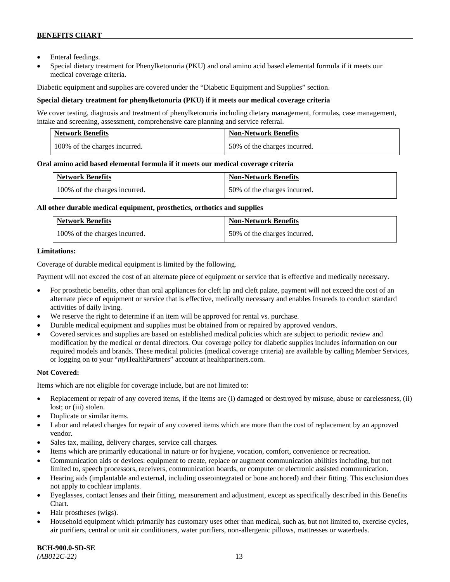- Enteral feedings.
- Special dietary treatment for Phenylketonuria (PKU) and oral amino acid based elemental formula if it meets our medical coverage criteria.

Diabetic equipment and supplies are covered under the "Diabetic Equipment and Supplies" section.

# **Special dietary treatment for phenylketonuria (PKU) if it meets our medical coverage criteria**

We cover testing, diagnosis and treatment of phenylketonuria including dietary management, formulas, case management, intake and screening, assessment, comprehensive care planning and service referral.

| <b>Network Benefits</b>       | <b>Non-Network Benefits</b>  |
|-------------------------------|------------------------------|
| 100% of the charges incurred. | 50% of the charges incurred. |

# **Oral amino acid based elemental formula if it meets our medical coverage criteria**

| <b>Network Benefits</b>       | <b>Non-Network Benefits</b>  |
|-------------------------------|------------------------------|
| 100% of the charges incurred. | 50% of the charges incurred. |

#### **All other durable medical equipment, prosthetics, orthotics and supplies**

| <b>Network Benefits</b>       | <b>Non-Network Benefits</b>  |
|-------------------------------|------------------------------|
| 100% of the charges incurred. | 50% of the charges incurred. |

# **Limitations:**

Coverage of durable medical equipment is limited by the following.

Payment will not exceed the cost of an alternate piece of equipment or service that is effective and medically necessary.

- For prosthetic benefits, other than oral appliances for cleft lip and cleft palate, payment will not exceed the cost of an alternate piece of equipment or service that is effective, medically necessary and enables Insureds to conduct standard activities of daily living.
- We reserve the right to determine if an item will be approved for rental vs. purchase.
- Durable medical equipment and supplies must be obtained from or repaired by approved vendors.
- Covered services and supplies are based on established medical policies which are subject to periodic review and modification by the medical or dental directors. Our coverage policy for diabetic supplies includes information on our required models and brands. These medical policies (medical coverage criteria) are available by calling Member Services, or logging on to your "*my*HealthPartners" account at [healthpartners.com.](http://www.healthpartners.com/)

# **Not Covered:**

Items which are not eligible for coverage include, but are not limited to:

- Replacement or repair of any covered items, if the items are (i) damaged or destroyed by misuse, abuse or carelessness, (ii) lost; or (iii) stolen.
- Duplicate or similar items.
- Labor and related charges for repair of any covered items which are more than the cost of replacement by an approved vendor.
- Sales tax, mailing, delivery charges, service call charges.
- Items which are primarily educational in nature or for hygiene, vocation, comfort, convenience or recreation.
- Communication aids or devices: equipment to create, replace or augment communication abilities including, but not limited to, speech processors, receivers, communication boards, or computer or electronic assisted communication.
- Hearing aids (implantable and external, including osseointegrated or bone anchored) and their fitting. This exclusion does not apply to cochlear implants.
- Eyeglasses, contact lenses and their fitting, measurement and adjustment, except as specifically described in this Benefits Chart.
- Hair prostheses (wigs).
- Household equipment which primarily has customary uses other than medical, such as, but not limited to, exercise cycles, air purifiers, central or unit air conditioners, water purifiers, non-allergenic pillows, mattresses or waterbeds.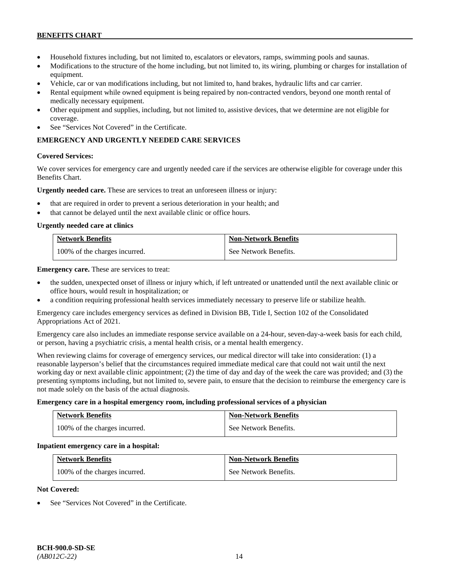- Household fixtures including, but not limited to, escalators or elevators, ramps, swimming pools and saunas.
- Modifications to the structure of the home including, but not limited to, its wiring, plumbing or charges for installation of equipment.
- Vehicle, car or van modifications including, but not limited to, hand brakes, hydraulic lifts and car carrier.
- Rental equipment while owned equipment is being repaired by non-contracted vendors, beyond one month rental of medically necessary equipment.
- Other equipment and supplies, including, but not limited to, assistive devices, that we determine are not eligible for coverage.
- See "Services Not Covered" in the Certificate.

# **EMERGENCY AND URGENTLY NEEDED CARE SERVICES**

#### **Covered Services:**

We cover services for emergency care and urgently needed care if the services are otherwise eligible for coverage under this Benefits Chart.

**Urgently needed care.** These are services to treat an unforeseen illness or injury:

- that are required in order to prevent a serious deterioration in your health; and
- that cannot be delayed until the next available clinic or office hours.

#### **Urgently needed care at clinics**

| <b>Network Benefits</b>       | <b>Non-Network Benefits</b> |
|-------------------------------|-----------------------------|
| 100% of the charges incurred. | See Network Benefits.       |

**Emergency care.** These are services to treat:

- the sudden, unexpected onset of illness or injury which, if left untreated or unattended until the next available clinic or office hours, would result in hospitalization; or
- a condition requiring professional health services immediately necessary to preserve life or stabilize health.

Emergency care includes emergency services as defined in Division BB, Title I, Section 102 of the Consolidated Appropriations Act of 2021.

Emergency care also includes an immediate response service available on a 24-hour, seven-day-a-week basis for each child, or person, having a psychiatric crisis, a mental health crisis, or a mental health emergency.

When reviewing claims for coverage of emergency services, our medical director will take into consideration: (1) a reasonable layperson's belief that the circumstances required immediate medical care that could not wait until the next working day or next available clinic appointment; (2) the time of day and day of the week the care was provided; and (3) the presenting symptoms including, but not limited to, severe pain, to ensure that the decision to reimburse the emergency care is not made solely on the basis of the actual diagnosis.

#### **Emergency care in a hospital emergency room, including professional services of a physician**

| <b>Network Benefits</b>       | <b>Non-Network Benefits</b> |
|-------------------------------|-----------------------------|
| 100% of the charges incurred. | See Network Benefits.       |

#### **Inpatient emergency care in a hospital:**

| <b>Network Benefits</b>       | <b>Non-Network Benefits</b> |
|-------------------------------|-----------------------------|
| 100% of the charges incurred. | See Network Benefits.       |

# **Not Covered:**

See "Services Not Covered" in the Certificate.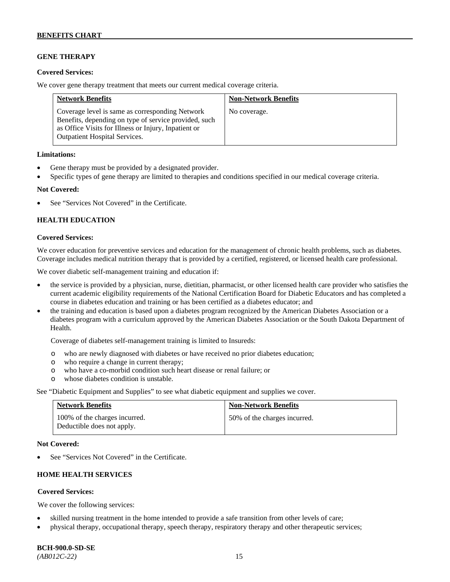# **GENE THERAPY**

### **Covered Services:**

We cover gene therapy treatment that meets our current medical coverage criteria.

| <b>Network Benefits</b>                                                                                                                                                                                  | <b>Non-Network Benefits</b> |
|----------------------------------------------------------------------------------------------------------------------------------------------------------------------------------------------------------|-----------------------------|
| Coverage level is same as corresponding Network<br>Benefits, depending on type of service provided, such<br>as Office Visits for Illness or Injury, Inpatient or<br><b>Outpatient Hospital Services.</b> | No coverage.                |

#### **Limitations:**

- Gene therapy must be provided by a designated provider.
- Specific types of gene therapy are limited to therapies and conditions specified in our medical coverage criteria.

#### **Not Covered:**

See "Services Not Covered" in the Certificate.

# **HEALTH EDUCATION**

#### **Covered Services:**

We cover education for preventive services and education for the management of chronic health problems, such as diabetes. Coverage includes medical nutrition therapy that is provided by a certified, registered, or licensed health care professional.

We cover diabetic self-management training and education if:

- the service is provided by a physician, nurse, dietitian, pharmacist, or other licensed health care provider who satisfies the current academic eligibility requirements of the National Certification Board for Diabetic Educators and has completed a course in diabetes education and training or has been certified as a diabetes educator; and
- the training and education is based upon a diabetes program recognized by the American Diabetes Association or a diabetes program with a curriculum approved by the American Diabetes Association or the South Dakota Department of Health.

Coverage of diabetes self-management training is limited to Insureds:

- o who are newly diagnosed with diabetes or have received no prior diabetes education;
- o who require a change in current therapy;<br>o who have a co-morbid condition such heal
- who have a co-morbid condition such heart disease or renal failure; or
- o whose diabetes condition is unstable.

See "Diabetic Equipment and Supplies" to see what diabetic equipment and supplies we cover.

| <b>Network Benefits</b>                                     | <b>Non-Network Benefits</b>  |
|-------------------------------------------------------------|------------------------------|
| 100% of the charges incurred.<br>Deductible does not apply. | 50% of the charges incurred. |

#### **Not Covered:**

See "Services Not Covered" in the Certificate.

# **HOME HEALTH SERVICES**

# **Covered Services:**

We cover the following services:

- skilled nursing treatment in the home intended to provide a safe transition from other levels of care;
- physical therapy, occupational therapy, speech therapy, respiratory therapy and other therapeutic services;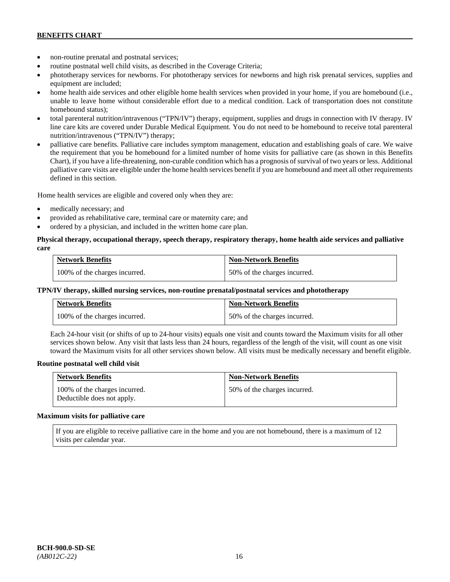- non-routine prenatal and postnatal services;
- routine postnatal well child visits, as described in the Coverage Criteria;
- phototherapy services for newborns. For phototherapy services for newborns and high risk prenatal services, supplies and equipment are included;
- home health aide services and other eligible home health services when provided in your home, if you are homebound (i.e., unable to leave home without considerable effort due to a medical condition. Lack of transportation does not constitute homebound status);
- total parenteral nutrition/intravenous ("TPN/IV") therapy, equipment, supplies and drugs in connection with IV therapy. IV line care kits are covered under Durable Medical Equipment. You do not need to be homebound to receive total parenteral nutrition/intravenous ("TPN/IV") therapy;
- palliative care benefits. Palliative care includes symptom management, education and establishing goals of care. We waive the requirement that you be homebound for a limited number of home visits for palliative care (as shown in this Benefits Chart), if you have a life-threatening, non-curable condition which has a prognosis of survival of two years or less. Additional palliative care visits are eligible under the home health services benefit if you are homebound and meet all other requirements defined in this section.

Home health services are eligible and covered only when they are:

- medically necessary; and
- provided as rehabilitative care, terminal care or maternity care; and
- ordered by a physician, and included in the written home care plan.

### **Physical therapy, occupational therapy, speech therapy, respiratory therapy, home health aide services and palliative care**

| <b>Network Benefits</b>       | <b>Non-Network Benefits</b>  |
|-------------------------------|------------------------------|
| 100% of the charges incurred. | 50% of the charges incurred. |

#### **TPN/IV therapy, skilled nursing services, non-routine prenatal/postnatal services and phototherapy**

| <b>Network Benefits</b>       | <b>Non-Network Benefits</b>  |
|-------------------------------|------------------------------|
| 100% of the charges incurred. | 50% of the charges incurred. |

Each 24-hour visit (or shifts of up to 24-hour visits) equals one visit and counts toward the Maximum visits for all other services shown below. Any visit that lasts less than 24 hours, regardless of the length of the visit, will count as one visit toward the Maximum visits for all other services shown below. All visits must be medically necessary and benefit eligible.

#### **Routine postnatal well child visit**

| <b>Network Benefits</b>                                     | <b>Non-Network Benefits</b>  |
|-------------------------------------------------------------|------------------------------|
| 100% of the charges incurred.<br>Deductible does not apply. | 50% of the charges incurred. |

#### **Maximum visits for palliative care**

If you are eligible to receive palliative care in the home and you are not homebound, there is a maximum of 12 visits per calendar year.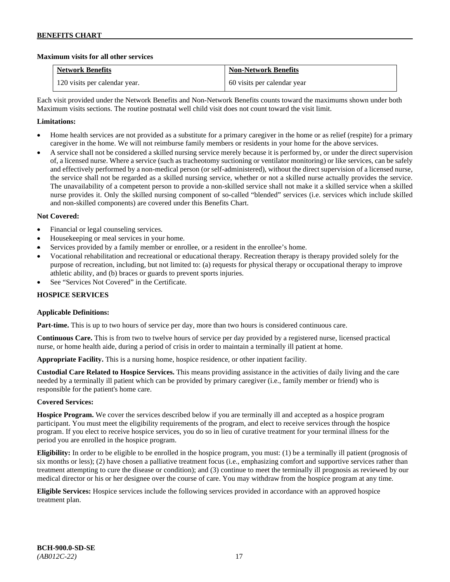# **Maximum visits for all other services**

| <b>Network Benefits</b>       | <b>Non-Network Benefits</b> |
|-------------------------------|-----------------------------|
| 120 visits per calendar year. | 60 visits per calendar year |

Each visit provided under the Network Benefits and Non-Network Benefits counts toward the maximums shown under both Maximum visits sections. The routine postnatal well child visit does not count toward the visit limit.

# **Limitations:**

- Home health services are not provided as a substitute for a primary caregiver in the home or as relief (respite) for a primary caregiver in the home. We will not reimburse family members or residents in your home for the above services.
- A service shall not be considered a skilled nursing service merely because it is performed by, or under the direct supervision of, a licensed nurse. Where a service (such as tracheotomy suctioning or ventilator monitoring) or like services, can be safely and effectively performed by a non-medical person (or self-administered), without the direct supervision of a licensed nurse, the service shall not be regarded as a skilled nursing service, whether or not a skilled nurse actually provides the service. The unavailability of a competent person to provide a non-skilled service shall not make it a skilled service when a skilled nurse provides it. Only the skilled nursing component of so-called "blended" services (i.e. services which include skilled and non-skilled components) are covered under this Benefits Chart.

# **Not Covered:**

- Financial or legal counseling services.
- Housekeeping or meal services in your home.
- Services provided by a family member or enrollee, or a resident in the enrollee's home.
- Vocational rehabilitation and recreational or educational therapy. Recreation therapy is therapy provided solely for the purpose of recreation, including, but not limited to: (a) requests for physical therapy or occupational therapy to improve athletic ability, and (b) braces or guards to prevent sports injuries.
- See "Services Not Covered" in the Certificate.

# **HOSPICE SERVICES**

# **Applicable Definitions:**

**Part-time.** This is up to two hours of service per day, more than two hours is considered continuous care.

**Continuous Care.** This is from two to twelve hours of service per day provided by a registered nurse, licensed practical nurse, or home health aide, during a period of crisis in order to maintain a terminally ill patient at home.

**Appropriate Facility.** This is a nursing home, hospice residence, or other inpatient facility.

**Custodial Care Related to Hospice Services.** This means providing assistance in the activities of daily living and the care needed by a terminally ill patient which can be provided by primary caregiver (i.e., family member or friend) who is responsible for the patient's home care.

# **Covered Services:**

**Hospice Program.** We cover the services described below if you are terminally ill and accepted as a hospice program participant. You must meet the eligibility requirements of the program, and elect to receive services through the hospice program. If you elect to receive hospice services, you do so in lieu of curative treatment for your terminal illness for the period you are enrolled in the hospice program.

**Eligibility:** In order to be eligible to be enrolled in the hospice program, you must: (1) be a terminally ill patient (prognosis of six months or less); (2) have chosen a palliative treatment focus (i.e., emphasizing comfort and supportive services rather than treatment attempting to cure the disease or condition); and (3) continue to meet the terminally ill prognosis as reviewed by our medical director or his or her designee over the course of care. You may withdraw from the hospice program at any time.

**Eligible Services:** Hospice services include the following services provided in accordance with an approved hospice treatment plan.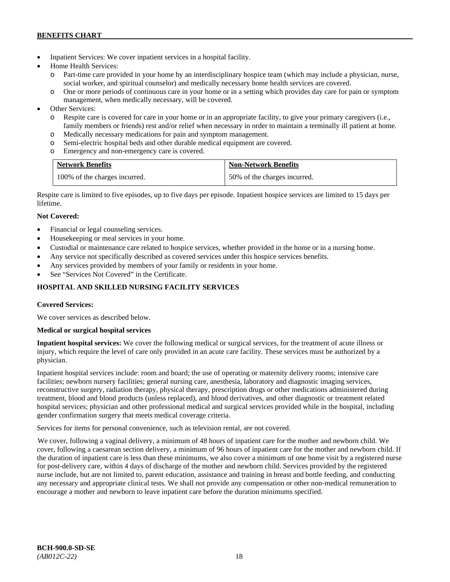- Inpatient Services: We cover inpatient services in a hospital facility.
- Home Health Services:
	- Part-time care provided in your home by an interdisciplinary hospice team (which may include a physician, nurse, social worker, and spiritual counselor) and medically necessary home health services are covered.
	- o One or more periods of continuous care in your home or in a setting which provides day care for pain or symptom management, when medically necessary, will be covered.
- Other Services:
	- o Respite care is covered for care in your home or in an appropriate facility, to give your primary caregivers (i.e., family members or friends) rest and/or relief when necessary in order to maintain a terminally ill patient at home*.*
	- o Medically necessary medications for pain and symptom management.
	- o Semi-electric hospital beds and other durable medical equipment are covered.
	- o Emergency and non-emergency care is covered.

| <b>Network Benefits</b>       | <b>Non-Network Benefits</b>  |
|-------------------------------|------------------------------|
| 100% of the charges incurred. | 50% of the charges incurred. |

Respite care is limited to five episodes, up to five days per episode. Inpatient hospice services are limited to 15 days per lifetime.

# **Not Covered:**

- Financial or legal counseling services.
- Housekeeping or meal services in your home.
- Custodial or maintenance care related to hospice services, whether provided in the home or in a nursing home.
- Any service not specifically described as covered services under this hospice services benefits.
- Any services provided by members of your family or residents in your home.
- See "Services Not Covered" in the Certificate.

# **HOSPITAL AND SKILLED NURSING FACILITY SERVICES**

# **Covered Services:**

We cover services as described below.

# **Medical or surgical hospital services**

**Inpatient hospital services:** We cover the following medical or surgical services, for the treatment of acute illness or injury, which require the level of care only provided in an acute care facility. These services must be authorized by a physician.

Inpatient hospital services include: room and board; the use of operating or maternity delivery rooms; intensive care facilities; newborn nursery facilities; general nursing care, anesthesia, laboratory and diagnostic imaging services, reconstructive surgery, radiation therapy, physical therapy, prescription drugs or other medications administered during treatment, blood and blood products (unless replaced), and blood derivatives, and other diagnostic or treatment related hospital services; physician and other professional medical and surgical services provided while in the hospital, including gender confirmation surgery that meets medical coverage criteria.

Services for items for personal convenience, such as television rental, are not covered.

We cover, following a vaginal delivery, a minimum of 48 hours of inpatient care for the mother and newborn child. We cover, following a caesarean section delivery, a minimum of 96 hours of inpatient care for the mother and newborn child. If the duration of inpatient care is less than these minimums, we also cover a minimum of one home visit by a registered nurse for post-delivery care, within 4 days of discharge of the mother and newborn child. Services provided by the registered nurse include, but are not limited to, parent education, assistance and training in breast and bottle feeding, and conducting any necessary and appropriate clinical tests. We shall not provide any compensation or other non-medical remuneration to encourage a mother and newborn to leave inpatient care before the duration minimums specified.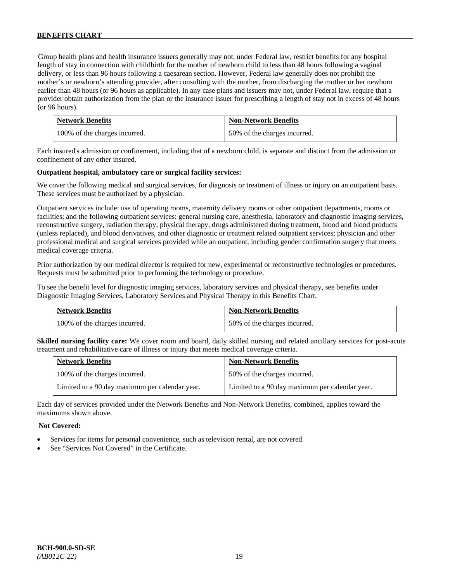Group health plans and health insurance issuers generally may not, under Federal law, restrict benefits for any hospital length of stay in connection with childbirth for the mother of newborn child to less than 48 hours following a vaginal delivery, or less than 96 hours following a caesarean section. However, Federal law generally does not prohibit the mother's or newborn's attending provider, after consulting with the mother, from discharging the mother or her newborn earlier than 48 hours (or 96 hours as applicable). In any case plans and issuers may not, under Federal law, require that a provider obtain authorization from the plan or the insurance issuer for prescribing a length of stay not in excess of 48 hours (or 96 hours).

| <b>Network Benefits</b>       | <b>Non-Network Benefits</b>  |
|-------------------------------|------------------------------|
| 100% of the charges incurred. | 50% of the charges incurred. |

Each insured's admission or confinement, including that of a newborn child, is separate and distinct from the admission or confinement of any other insured.

#### **Outpatient hospital, ambulatory care or surgical facility services:**

We cover the following medical and surgical services, for diagnosis or treatment of illness or injury on an outpatient basis. These services must be authorized by a physician.

Outpatient services include: use of operating rooms, maternity delivery rooms or other outpatient departments, rooms or facilities; and the following outpatient services: general nursing care, anesthesia, laboratory and diagnostic imaging services, reconstructive surgery, radiation therapy, physical therapy, drugs administered during treatment, blood and blood products (unless replaced), and blood derivatives, and other diagnostic or treatment related outpatient services; physician and other professional medical and surgical services provided while an outpatient, including gender confirmation surgery that meets medical coverage criteria.

Prior authorization by our medical director is required for new, experimental or reconstructive technologies or procedures. Requests must be submitted prior to performing the technology or procedure.

To see the benefit level for diagnostic imaging services, laboratory services and physical therapy, see benefits under Diagnostic Imaging Services, Laboratory Services and Physical Therapy in this Benefits Chart.

| <b>Network Benefits</b>       | <b>Non-Network Benefits</b>  |
|-------------------------------|------------------------------|
| 100% of the charges incurred. | 50% of the charges incurred. |

**Skilled nursing facility care:** We cover room and board, daily skilled nursing and related ancillary services for post-acute treatment and rehabilitative care of illness or injury that meets medical coverage criteria.

| <b>Network Benefits</b>                        | <b>Non-Network Benefits</b>                    |
|------------------------------------------------|------------------------------------------------|
| 100% of the charges incurred.                  | 50% of the charges incurred.                   |
| Limited to a 90 day maximum per calendar year. | Limited to a 90 day maximum per calendar year. |

Each day of services provided under the Network Benefits and Non-Network Benefits, combined, applies toward the maximums shown above.

### **Not Covered:**

- Services for items for personal convenience, such as television rental, are not covered.
- See "Services Not Covered" in the Certificate.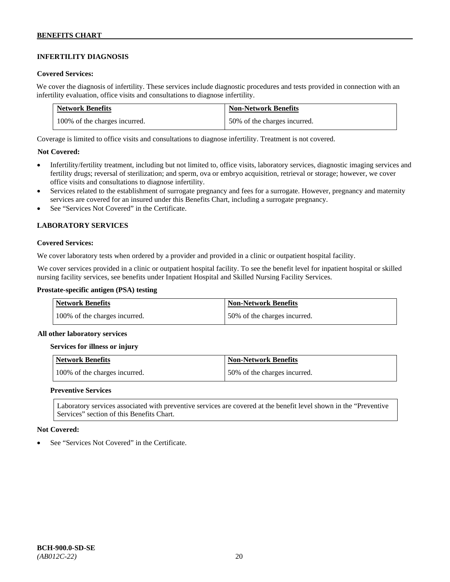# **INFERTILITY DIAGNOSIS**

### **Covered Services:**

We cover the diagnosis of infertility. These services include diagnostic procedures and tests provided in connection with an infertility evaluation, office visits and consultations to diagnose infertility.

| <b>Network Benefits</b>       | <b>Non-Network Benefits</b>  |
|-------------------------------|------------------------------|
| 100% of the charges incurred. | 50% of the charges incurred. |

Coverage is limited to office visits and consultations to diagnose infertility. Treatment is not covered.

# **Not Covered:**

- Infertility/fertility treatment, including but not limited to, office visits, laboratory services, diagnostic imaging services and fertility drugs; reversal of sterilization; and sperm, ova or embryo acquisition, retrieval or storage; however, we cover office visits and consultations to diagnose infertility.
- Services related to the establishment of surrogate pregnancy and fees for a surrogate. However, pregnancy and maternity services are covered for an insured under this Benefits Chart, including a surrogate pregnancy.
- See "Services Not Covered" in the Certificate.

# **LABORATORY SERVICES**

#### **Covered Services:**

We cover laboratory tests when ordered by a provider and provided in a clinic or outpatient hospital facility.

We cover services provided in a clinic or outpatient hospital facility. To see the benefit level for inpatient hospital or skilled nursing facility services, see benefits under Inpatient Hospital and Skilled Nursing Facility Services.

### **Prostate-specific antigen (PSA) testing**

| <b>Network Benefits</b>       | <b>Non-Network Benefits</b>  |
|-------------------------------|------------------------------|
| 100% of the charges incurred. | 50% of the charges incurred. |

#### **All other laboratory services**

#### **Services for illness or injury**

| Network Benefits              | <b>Non-Network Benefits</b>  |
|-------------------------------|------------------------------|
| 100% of the charges incurred. | 50% of the charges incurred. |

#### **Preventive Services**

Laboratory services associated with preventive services are covered at the benefit level shown in the "Preventive Services" section of this Benefits Chart.

#### **Not Covered:**

See "Services Not Covered" in the Certificate.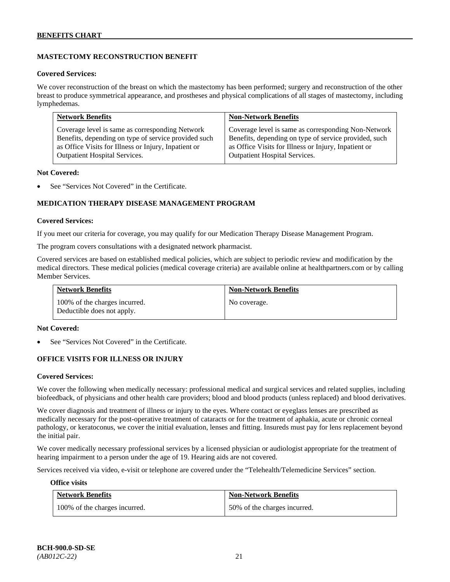# **MASTECTOMY RECONSTRUCTION BENEFIT**

#### **Covered Services:**

We cover reconstruction of the breast on which the mastectomy has been performed; surgery and reconstruction of the other breast to produce symmetrical appearance, and prostheses and physical complications of all stages of mastectomy, including lymphedemas.

| <b>Network Benefits</b>                              | <b>Non-Network Benefits</b>                           |
|------------------------------------------------------|-------------------------------------------------------|
| Coverage level is same as corresponding Network      | Coverage level is same as corresponding Non-Network   |
| Benefits, depending on type of service provided such | Benefits, depending on type of service provided, such |
| as Office Visits for Illness or Injury, Inpatient or | as Office Visits for Illness or Injury, Inpatient or  |
| Outpatient Hospital Services.                        | Outpatient Hospital Services.                         |

#### **Not Covered:**

See "Services Not Covered" in the Certificate.

# **MEDICATION THERAPY DISEASE MANAGEMENT PROGRAM**

#### **Covered Services:**

If you meet our criteria for coverage, you may qualify for our Medication Therapy Disease Management Program.

The program covers consultations with a designated network pharmacist.

Covered services are based on established medical policies, which are subject to periodic review and modification by the medical directors. These medical policies (medical coverage criteria) are available online at [healthpartners.com](http://www.healthpartners.com/) or by calling Member Services.

| <b>Network Benefits</b>                                     | <b>Non-Network Benefits</b> |
|-------------------------------------------------------------|-----------------------------|
| 100% of the charges incurred.<br>Deductible does not apply. | No coverage.                |

#### **Not Covered:**

See "Services Not Covered" in the Certificate.

# **OFFICE VISITS FOR ILLNESS OR INJURY**

#### **Covered Services:**

We cover the following when medically necessary: professional medical and surgical services and related supplies, including biofeedback, of physicians and other health care providers; blood and blood products (unless replaced) and blood derivatives.

We cover diagnosis and treatment of illness or injury to the eyes. Where contact or eyeglass lenses are prescribed as medically necessary for the post-operative treatment of cataracts or for the treatment of aphakia, acute or chronic corneal pathology, or keratoconus, we cover the initial evaluation, lenses and fitting. Insureds must pay for lens replacement beyond the initial pair.

We cover medically necessary professional services by a licensed physician or audiologist appropriate for the treatment of hearing impairment to a person under the age of 19. Hearing aids are not covered.

Services received via video, e-visit or telephone are covered under the "Telehealth/Telemedicine Services" section.

#### **Office visits**

| <b>Network Benefits</b>       | <b>Non-Network Benefits</b>  |
|-------------------------------|------------------------------|
| 100% of the charges incurred. | 50% of the charges incurred. |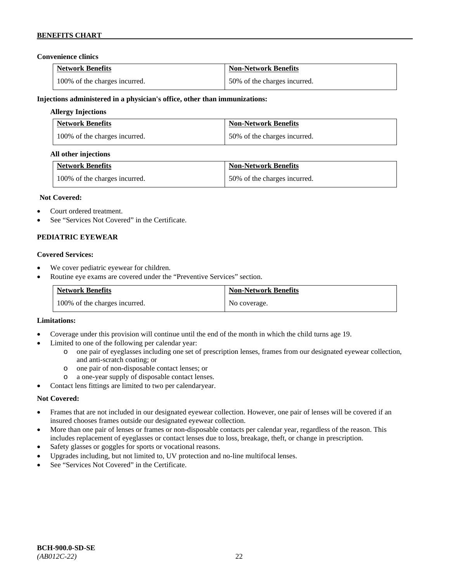### **Convenience clinics**

| <b>Network Benefits</b>       | <b>Non-Network Benefits</b>  |
|-------------------------------|------------------------------|
| 100% of the charges incurred. | 50% of the charges incurred. |

#### **Injections administered in a physician's office, other than immunizations:**

### **Allergy Injections**

| <b>Network Benefits</b>       | <b>Non-Network Benefits</b>  |
|-------------------------------|------------------------------|
| 100% of the charges incurred. | 50% of the charges incurred. |

#### **All other injections**

| <b>Network Benefits</b>       | <b>Non-Network Benefits</b>  |
|-------------------------------|------------------------------|
| 100% of the charges incurred. | 50% of the charges incurred. |

#### **Not Covered:**

- Court ordered treatment.
- See "Services Not Covered" in the Certificate.

# **PEDIATRIC EYEWEAR**

#### **Covered Services:**

- We cover pediatric eyewear for children.
- Routine eye exams are covered under the "Preventive Services" section.

| <b>Network Benefits</b>       | <b>Non-Network Benefits</b> |
|-------------------------------|-----------------------------|
| 100% of the charges incurred. | No coverage.                |

#### **Limitations:**

- Coverage under this provision will continue until the end of the month in which the child turns age 19.
- Limited to one of the following per calendar year:
	- o one pair of eyeglasses including one set of prescription lenses, frames from our designated eyewear collection, and anti-scratch coating; or
	- o one pair of non-disposable contact lenses; or
	- a one-year supply of disposable contact lenses.
- Contact lens fittings are limited to two per calendaryear.

# **Not Covered:**

- Frames that are not included in our designated eyewear collection. However, one pair of lenses will be covered if an insured chooses frames outside our designated eyewear collection.
- More than one pair of lenses or frames or non-disposable contacts per calendar year, regardless of the reason. This includes replacement of eyeglasses or contact lenses due to loss, breakage, theft, or change in prescription.
- Safety glasses or goggles for sports or vocational reasons.
- Upgrades including, but not limited to, UV protection and no-line multifocal lenses.
- See "Services Not Covered" in the Certificate.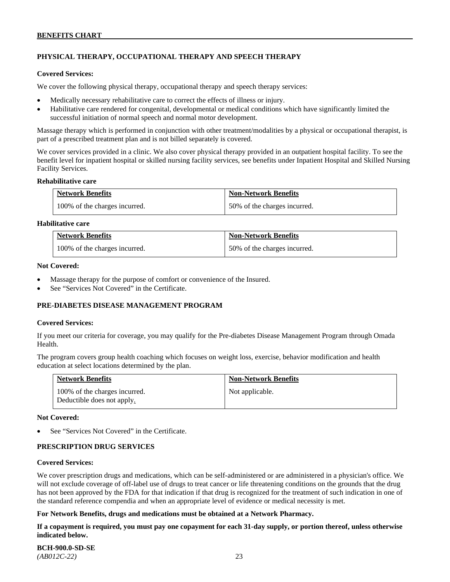# **PHYSICAL THERAPY, OCCUPATIONAL THERAPY AND SPEECH THERAPY**

#### **Covered Services:**

We cover the following physical therapy, occupational therapy and speech therapy services:

- Medically necessary rehabilitative care to correct the effects of illness or injury.
- Habilitative care rendered for congenital, developmental or medical conditions which have significantly limited the successful initiation of normal speech and normal motor development.

Massage therapy which is performed in conjunction with other treatment/modalities by a physical or occupational therapist, is part of a prescribed treatment plan and is not billed separately is covered.

We cover services provided in a clinic. We also cover physical therapy provided in an outpatient hospital facility. To see the benefit level for inpatient hospital or skilled nursing facility services, see benefits under Inpatient Hospital and Skilled Nursing Facility Services.

#### **Rehabilitative care**

| <b>Network Benefits</b>       | <b>Non-Network Benefits</b>  |
|-------------------------------|------------------------------|
| 100% of the charges incurred. | 50% of the charges incurred. |

# **Habilitative care**

| <b>Network Benefits</b>       | <b>Non-Network Benefits</b>  |
|-------------------------------|------------------------------|
| 100% of the charges incurred. | 50% of the charges incurred. |

#### **Not Covered:**

- Massage therapy for the purpose of comfort or convenience of the Insured.
- See "Services Not Covered" in the Certificate.

# **PRE-DIABETES DISEASE MANAGEMENT PROGRAM**

#### **Covered Services:**

If you meet our criteria for coverage, you may qualify for the Pre-diabetes Disease Management Program through Omada Health.

The program covers group health coaching which focuses on weight loss, exercise, behavior modification and health education at select locations determined by the plan.

| <b>Network Benefits</b>                                     | <b>Non-Network Benefits</b> |
|-------------------------------------------------------------|-----------------------------|
| 100% of the charges incurred.<br>Deductible does not apply. | Not applicable.             |

#### **Not Covered:**

See "Services Not Covered" in the Certificate.

# **PRESCRIPTION DRUG SERVICES**

#### **Covered Services:**

We cover prescription drugs and medications, which can be self-administered or are administered in a physician's office. We will not exclude coverage of off-label use of drugs to treat cancer or life threatening conditions on the grounds that the drug has not been approved by the FDA for that indication if that drug is recognized for the treatment of such indication in one of the standard reference compendia and when an appropriate level of evidence or medical necessity is met.

# **For Network Benefits, drugs and medications must be obtained at a Network Pharmacy.**

**If a copayment is required, you must pay one copayment for each 31-day supply, or portion thereof, unless otherwise indicated below.**

| <b>BCH-900.0-SD-SE</b> |  |
|------------------------|--|
| $(AB012C-22)$          |  |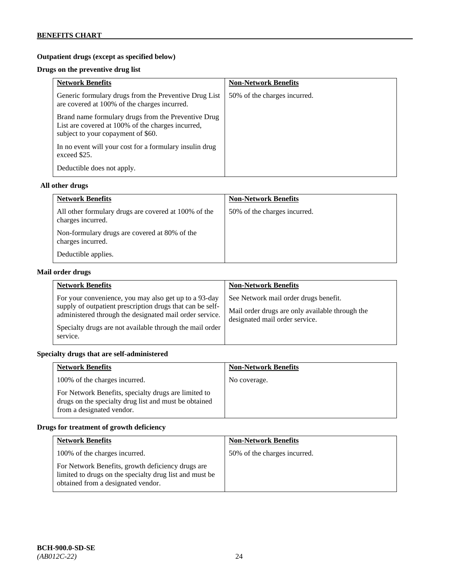# **Outpatient drugs (except as specified below)**

# **Drugs on the preventive drug list**

| <b>Network Benefits</b>                                                                                                                        | <b>Non-Network Benefits</b>  |
|------------------------------------------------------------------------------------------------------------------------------------------------|------------------------------|
| Generic formulary drugs from the Preventive Drug List<br>are covered at 100% of the charges incurred.                                          | 50% of the charges incurred. |
| Brand name formulary drugs from the Preventive Drug<br>List are covered at 100% of the charges incurred,<br>subject to your copayment of \$60. |                              |
| In no event will your cost for a formulary insulin drug<br>exceed \$25.                                                                        |                              |
| Deductible does not apply.                                                                                                                     |                              |

# **All other drugs**

| <b>Network Benefits</b>                                                   | <b>Non-Network Benefits</b>  |
|---------------------------------------------------------------------------|------------------------------|
| All other formulary drugs are covered at 100% of the<br>charges incurred. | 50% of the charges incurred. |
| Non-formulary drugs are covered at 80% of the<br>charges incurred.        |                              |
| Deductible applies.                                                       |                              |

# **Mail order drugs**

| <b>Network Benefits</b>                                                                                                                                                                                                                               | <b>Non-Network Benefits</b>                                                                                                |
|-------------------------------------------------------------------------------------------------------------------------------------------------------------------------------------------------------------------------------------------------------|----------------------------------------------------------------------------------------------------------------------------|
| For your convenience, you may also get up to a 93-day<br>supply of outpatient prescription drugs that can be self-<br>administered through the designated mail order service.<br>Specialty drugs are not available through the mail order<br>service. | See Network mail order drugs benefit.<br>Mail order drugs are only available through the<br>designated mail order service. |

# **Specialty drugs that are self-administered**

| <b>Network Benefits</b>                                                                                                                    | <b>Non-Network Benefits</b> |
|--------------------------------------------------------------------------------------------------------------------------------------------|-----------------------------|
| 100% of the charges incurred.                                                                                                              | No coverage.                |
| For Network Benefits, specialty drugs are limited to<br>drugs on the specialty drug list and must be obtained<br>from a designated vendor. |                             |

# **Drugs for treatment of growth deficiency**

| <b>Network Benefits</b>                                                                                                                            | <b>Non-Network Benefits</b>  |
|----------------------------------------------------------------------------------------------------------------------------------------------------|------------------------------|
| 100% of the charges incurred.                                                                                                                      | 50% of the charges incurred. |
| For Network Benefits, growth deficiency drugs are<br>limited to drugs on the specialty drug list and must be<br>obtained from a designated vendor. |                              |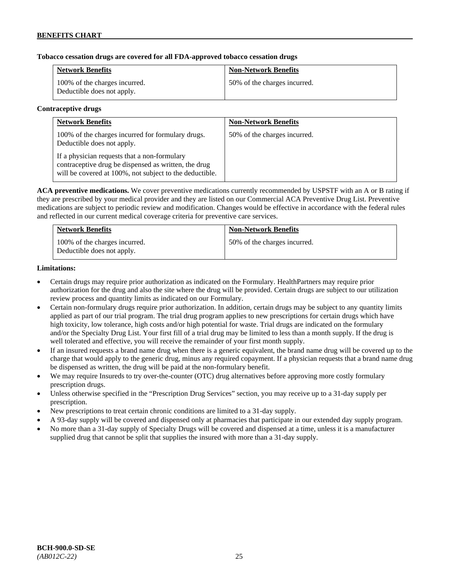# **Tobacco cessation drugs are covered for all FDA-approved tobacco cessation drugs**

| <b>Network Benefits</b>                                     | <b>Non-Network Benefits</b>  |
|-------------------------------------------------------------|------------------------------|
| 100% of the charges incurred.<br>Deductible does not apply. | 50% of the charges incurred. |

#### **Contraceptive drugs**

| <b>Network Benefits</b>                                                                                                                                         | <b>Non-Network Benefits</b>  |
|-----------------------------------------------------------------------------------------------------------------------------------------------------------------|------------------------------|
| 100% of the charges incurred for formulary drugs.<br>Deductible does not apply.                                                                                 | 50% of the charges incurred. |
| If a physician requests that a non-formulary<br>contraceptive drug be dispensed as written, the drug<br>will be covered at 100%, not subject to the deductible. |                              |

**ACA preventive medications.** We cover preventive medications currently recommended by USPSTF with an A or B rating if they are prescribed by your medical provider and they are listed on our Commercial ACA Preventive Drug List. Preventive medications are subject to periodic review and modification. Changes would be effective in accordance with the federal rules and reflected in our current medical coverage criteria for preventive care services.

| <b>Network Benefits</b>                                     | <b>Non-Network Benefits</b>  |
|-------------------------------------------------------------|------------------------------|
| 100% of the charges incurred.<br>Deductible does not apply. | 50% of the charges incurred. |

#### **Limitations:**

- Certain drugs may require prior authorization as indicated on the Formulary. HealthPartners may require prior authorization for the drug and also the site where the drug will be provided. Certain drugs are subject to our utilization review process and quantity limits as indicated on our Formulary.
- Certain non-formulary drugs require prior authorization. In addition, certain drugs may be subject to any quantity limits applied as part of our trial program. The trial drug program applies to new prescriptions for certain drugs which have high toxicity, low tolerance, high costs and/or high potential for waste. Trial drugs are indicated on the formulary and/or the Specialty Drug List. Your first fill of a trial drug may be limited to less than a month supply. If the drug is well tolerated and effective, you will receive the remainder of your first month supply.
- If an insured requests a brand name drug when there is a generic equivalent, the brand name drug will be covered up to the charge that would apply to the generic drug, minus any required copayment. If a physician requests that a brand name drug be dispensed as written, the drug will be paid at the non-formulary benefit.
- We may require Insureds to try over-the-counter (OTC) drug alternatives before approving more costly formulary prescription drugs.
- Unless otherwise specified in the "Prescription Drug Services" section, you may receive up to a 31-day supply per prescription.
- New prescriptions to treat certain chronic conditions are limited to a 31-day supply.
- A 93-day supply will be covered and dispensed only at pharmacies that participate in our extended day supply program.
- No more than a 31-day supply of Specialty Drugs will be covered and dispensed at a time, unless it is a manufacturer supplied drug that cannot be split that supplies the insured with more than a 31-day supply.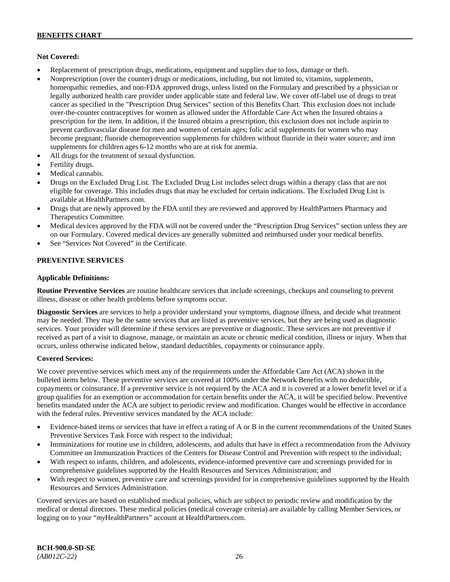# **Not Covered:**

- Replacement of prescription drugs, medications, equipment and supplies due to loss, damage or theft.
- Nonprescription (over the counter) drugs or medications, including, but not limited to, vitamins, supplements, homeopathic remedies, and non-FDA approved drugs, unless listed on the Formulary and prescribed by a physician or legally authorized health care provider under applicable state and federal law. We cover off-label use of drugs to treat cancer as specified in the "Prescription Drug Services" section of this Benefits Chart. This exclusion does not include over-the-counter contraceptives for women as allowed under the Affordable Care Act when the Insured obtains a prescription for the item. In addition, if the Insured obtains a prescription, this exclusion does not include aspirin to prevent cardiovascular disease for men and women of certain ages; folic acid supplements for women who may become pregnant; fluoride chemoprevention supplements for children without fluoride in their water source; and iron supplements for children ages 6-12 months who are at risk for anemia.
- All drugs for the treatment of sexual dysfunction.
- Fertility drugs.
- Medical cannabis.
- Drugs on the Excluded Drug List. The Excluded Drug List includes select drugs within a therapy class that are not eligible for coverage. This includes drugs that may be excluded for certain indications. The Excluded Drug List is available a[t HealthPartners.com.](http://www.healthpartners.com/)
- Drugs that are newly approved by the FDA until they are reviewed and approved by HealthPartners Pharmacy and Therapeutics Committee.
- Medical devices approved by the FDA will not be covered under the "Prescription Drug Services" section unless they are on our Formulary. Covered medical devices are generally submitted and reimbursed under your medical benefits.
- See "Services Not Covered" in the Certificate.

# **PREVENTIVE SERVICES**

#### **Applicable Definitions:**

**Routine Preventive Services** are routine healthcare services that include screenings, checkups and counseling to prevent illness, disease or other health problems before symptoms occur.

**Diagnostic Services** are services to help a provider understand your symptoms, diagnose illness, and decide what treatment may be needed. They may be the same services that are listed as preventive services, but they are being used as diagnostic services. Your provider will determine if these services are preventive or diagnostic. These services are not preventive if received as part of a visit to diagnose, manage, or maintain an acute or chronic medical condition, illness or injury. When that occurs, unless otherwise indicated below, standard deductibles, copayments or coinsurance apply.

# **Covered Services:**

We cover preventive services which meet any of the requirements under the Affordable Care Act (ACA) shown in the bulleted items below. These preventive services are covered at 100% under the Network Benefits with no deductible, copayments or coinsurance. If a preventive service is not required by the ACA and it is covered at a lower benefit level or if a group qualifies for an exemption or accommodation for certain benefits under the ACA, it will be specified below. Preventive benefits mandated under the ACA are subject to periodic review and modification. Changes would be effective in accordance with the federal rules. Preventive services mandated by the ACA include:

- Evidence-based items or services that have in effect a rating of A or B in the current recommendations of the United States Preventive Services Task Force with respect to the individual;
- Immunizations for routine use in children, adolescents, and adults that have in effect a recommendation from the Advisory Committee on Immunization Practices of the Centers for Disease Control and Prevention with respect to the individual;
- With respect to infants, children, and adolescents, evidence-informed preventive care and screenings provided for in comprehensive guidelines supported by the Health Resources and Services Administration; and
- With respect to women, preventive care and screenings provided for in comprehensive guidelines supported by the Health Resources and Services Administration.

Covered services are based on established medical policies, which are subject to periodic review and modification by the medical or dental directors. These medical policies (medical coverage criteria) are available by calling Member Services, or logging on to your "*my*HealthPartners" account at [HealthPartners.com.](http://www.healthpartners.com/)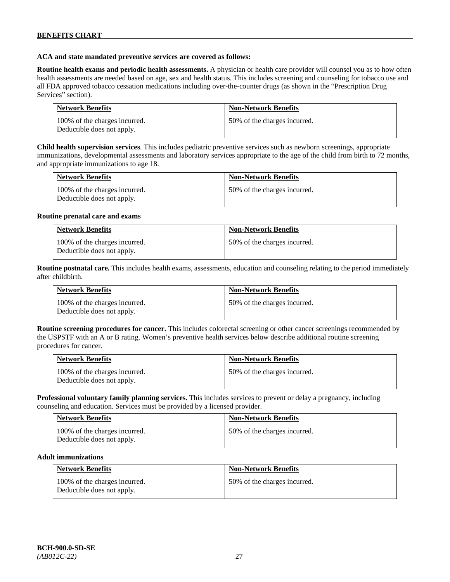### **ACA and state mandated preventive services are covered as follows:**

**Routine health exams and periodic health assessments.** A physician or health care provider will counsel you as to how often health assessments are needed based on age, sex and health status. This includes screening and counseling for tobacco use and all FDA approved tobacco cessation medications including over-the-counter drugs (as shown in the "Prescription Drug Services" section).

| <b>Network Benefits</b>                                     | <b>Non-Network Benefits</b>  |
|-------------------------------------------------------------|------------------------------|
| 100% of the charges incurred.<br>Deductible does not apply. | 50% of the charges incurred. |

**Child health supervision services**. This includes pediatric preventive services such as newborn screenings, appropriate immunizations, developmental assessments and laboratory services appropriate to the age of the child from birth to 72 months, and appropriate immunizations to age 18.

| <b>Network Benefits</b>                                     | <b>Non-Network Benefits</b>  |
|-------------------------------------------------------------|------------------------------|
| 100% of the charges incurred.<br>Deductible does not apply. | 50% of the charges incurred. |

#### **Routine prenatal care and exams**

| <b>Network Benefits</b>                                     | <b>Non-Network Benefits</b>  |
|-------------------------------------------------------------|------------------------------|
| 100% of the charges incurred.<br>Deductible does not apply. | 50% of the charges incurred. |

**Routine postnatal care.** This includes health exams, assessments, education and counseling relating to the period immediately after childbirth.

| <b>Network Benefits</b>                                     | <b>Non-Network Benefits</b>  |
|-------------------------------------------------------------|------------------------------|
| 100% of the charges incurred.<br>Deductible does not apply. | 50% of the charges incurred. |

**Routine screening procedures for cancer.** This includes colorectal screening or other cancer screenings recommended by the USPSTF with an A or B rating. Women's preventive health services below describe additional routine screening procedures for cancer.

| <b>Network Benefits</b>                                     | <b>Non-Network Benefits</b>  |
|-------------------------------------------------------------|------------------------------|
| 100% of the charges incurred.<br>Deductible does not apply. | 50% of the charges incurred. |

**Professional voluntary family planning services.** This includes services to prevent or delay a pregnancy, including counseling and education. Services must be provided by a licensed provider.

| <b>Network Benefits</b>                                     | <b>Non-Network Benefits</b>  |
|-------------------------------------------------------------|------------------------------|
| 100% of the charges incurred.<br>Deductible does not apply. | 50% of the charges incurred. |

#### **Adult immunizations**

| <b>Network Benefits</b>                                     | <b>Non-Network Benefits</b>  |
|-------------------------------------------------------------|------------------------------|
| 100% of the charges incurred.<br>Deductible does not apply. | 50% of the charges incurred. |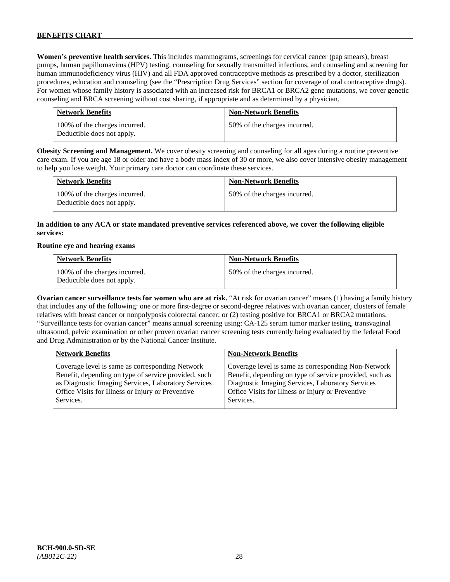**Women's preventive health services.** This includes mammograms, screenings for cervical cancer (pap smears), breast pumps, human papillomavirus (HPV) testing, counseling for sexually transmitted infections, and counseling and screening for human immunodeficiency virus (HIV) and all FDA approved contraceptive methods as prescribed by a doctor, sterilization procedures, education and counseling (see the "Prescription Drug Services" section for coverage of oral contraceptive drugs). For women whose family history is associated with an increased risk for BRCA1 or BRCA2 gene mutations, we cover genetic counseling and BRCA screening without cost sharing, if appropriate and as determined by a physician.

| <b>Network Benefits</b>                                     | <b>Non-Network Benefits</b>  |
|-------------------------------------------------------------|------------------------------|
| 100% of the charges incurred.<br>Deductible does not apply. | 50% of the charges incurred. |

**Obesity Screening and Management.** We cover obesity screening and counseling for all ages during a routine preventive care exam. If you are age 18 or older and have a body mass index of 30 or more, we also cover intensive obesity management to help you lose weight. Your primary care doctor can coordinate these services.

| <b>Network Benefits</b>                                     | <b>Non-Network Benefits</b>  |
|-------------------------------------------------------------|------------------------------|
| 100% of the charges incurred.<br>Deductible does not apply. | 50% of the charges incurred. |

# **In addition to any ACA or state mandated preventive services referenced above, we cover the following eligible services:**

#### **Routine eye and hearing exams**

| <b>Network Benefits</b>                                     | <b>Non-Network Benefits</b>  |
|-------------------------------------------------------------|------------------------------|
| 100% of the charges incurred.<br>Deductible does not apply. | 50% of the charges incurred. |

**Ovarian cancer surveillance tests for women who are at risk.** "At risk for ovarian cancer" means (1) having a family history that includes any of the following: one or more first-degree or second-degree relatives with ovarian cancer, clusters of female relatives with breast cancer or nonpolyposis colorectal cancer; or (2) testing positive for BRCA1 or BRCA2 mutations. "Surveillance tests for ovarian cancer" means annual screening using: CA-125 serum tumor marker testing, transvaginal ultrasound, pelvic examination or other proven ovarian cancer screening tests currently being evaluated by the federal Food and Drug Administration or by the National Cancer Institute.

| <b>Network Benefits</b>                              | <b>Non-Network Benefits</b>                             |
|------------------------------------------------------|---------------------------------------------------------|
| Coverage level is same as corresponding Network      | Coverage level is same as corresponding Non-Network     |
| Benefit, depending on type of service provided, such | Benefit, depending on type of service provided, such as |
| as Diagnostic Imaging Services, Laboratory Services  | Diagnostic Imaging Services, Laboratory Services        |
| Office Visits for Illness or Injury or Preventive    | Office Visits for Illness or Injury or Preventive       |
| Services.                                            | Services.                                               |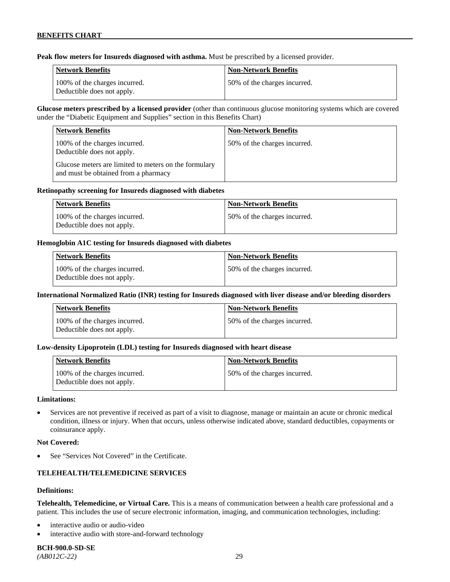**Peak flow meters for Insureds diagnosed with asthma.** Must be prescribed by a licensed provider.

| Network Benefits                                            | <b>Non-Network Benefits</b>   |
|-------------------------------------------------------------|-------------------------------|
| 100% of the charges incurred.<br>Deductible does not apply. | 150% of the charges incurred. |

**Glucose meters prescribed by a licensed provider** (other than continuous glucose monitoring systems which are covered under the "Diabetic Equipment and Supplies" section in this Benefits Chart)

| <b>Network Benefits</b>                                                                       | <b>Non-Network Benefits</b>  |
|-----------------------------------------------------------------------------------------------|------------------------------|
| 100% of the charges incurred.<br>Deductible does not apply.                                   | 50% of the charges incurred. |
| Glucose meters are limited to meters on the formulary<br>and must be obtained from a pharmacy |                              |

#### **Retinopathy screening for Insureds diagnosed with diabetes**

| Network Benefits                                            | Non-Network Benefits          |
|-------------------------------------------------------------|-------------------------------|
| 100% of the charges incurred.<br>Deductible does not apply. | 150% of the charges incurred. |

### **Hemoglobin A1C testing for Insureds diagnosed with diabetes**

| Network Benefits                                            | <b>Non-Network Benefits</b>  |
|-------------------------------------------------------------|------------------------------|
| 100% of the charges incurred.<br>Deductible does not apply. | 50% of the charges incurred. |

# **International Normalized Ratio (INR) testing for Insureds diagnosed with liver disease and/or bleeding disorders**

| Network Benefits                                            | <b>Non-Network Benefits</b>  |
|-------------------------------------------------------------|------------------------------|
| 100% of the charges incurred.<br>Deductible does not apply. | 50% of the charges incurred. |

# **Low-density Lipoprotein (LDL) testing for Insureds diagnosed with heart disease**

| <b>Network Benefits</b>                                     | <b>Non-Network Benefits</b>   |
|-------------------------------------------------------------|-------------------------------|
| 100% of the charges incurred.<br>Deductible does not apply. | 150% of the charges incurred. |

#### **Limitations:**

• Services are not preventive if received as part of a visit to diagnose, manage or maintain an acute or chronic medical condition, illness or injury. When that occurs, unless otherwise indicated above, standard deductibles, copayments or coinsurance apply.

#### **Not Covered:**

See "Services Not Covered" in the Certificate.

# **TELEHEALTH/TELEMEDICINE SERVICES**

#### **Definitions:**

**Telehealth, Telemedicine, or Virtual Care.** This is a means of communication between a health care professional and a patient. This includes the use of secure electronic information, imaging, and communication technologies, including:

- interactive audio or audio-video
- interactive audio with store-and-forward technology

**BCH-900.0-SD-SE**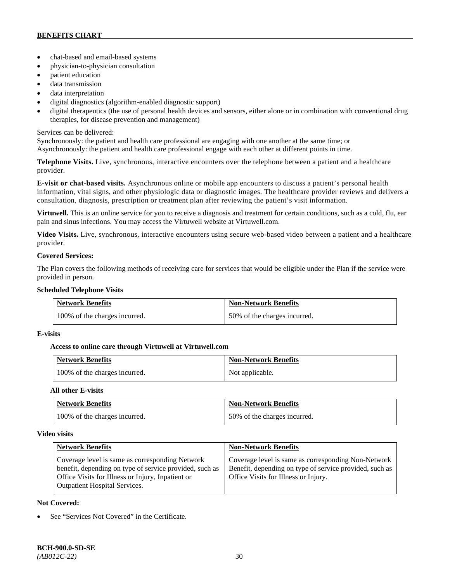- chat-based and email-based systems
- physician-to-physician consultation
- patient education
- data transmission
- data interpretation
- digital diagnostics (algorithm-enabled diagnostic support)
- digital therapeutics (the use of personal health devices and sensors, either alone or in combination with conventional drug therapies, for disease prevention and management)

# Services can be delivered:

Synchronously: the patient and health care professional are engaging with one another at the same time; or Asynchronously: the patient and health care professional engage with each other at different points in time.

**Telephone Visits.** Live, synchronous, interactive encounters over the telephone between a patient and a healthcare provider.

**E-visit or chat-based visits.** Asynchronous online or mobile app encounters to discuss a patient's personal health information, vital signs, and other physiologic data or diagnostic images. The healthcare provider reviews and delivers a consultation, diagnosis, prescription or treatment plan after reviewing the patient's visit information.

**Virtuwell.** This is an online service for you to receive a diagnosis and treatment for certain conditions, such as a cold, flu, ear pain and sinus infections. You may access the Virtuwell website at [Virtuwell.com.](https://www.virtuwell.com/)

**Video Visits.** Live, synchronous, interactive encounters using secure web-based video between a patient and a healthcare provider.

# **Covered Services:**

The Plan covers the following methods of receiving care for services that would be eligible under the Plan if the service were provided in person.

# **Scheduled Telephone Visits**

| <b>Network Benefits</b>       | <b>Non-Network Benefits</b>  |
|-------------------------------|------------------------------|
| 100% of the charges incurred. | 50% of the charges incurred. |

# **E-visits**

# **Access to online care through Virtuwell at [Virtuwell.com](http://www.virtuwell.com/)**

| <b>Network Benefits</b>       | <b>Non-Network Benefits</b> |
|-------------------------------|-----------------------------|
| 100% of the charges incurred. | Not applicable.             |

# **All other E-visits**

| <b>Network Benefits</b>       | <b>Non-Network Benefits</b>  |
|-------------------------------|------------------------------|
| 100% of the charges incurred. | 50% of the charges incurred. |

# **Video visits**

| <b>Network Benefits</b>                                                                                                                                                                                 | <b>Non-Network Benefits</b>                                                                                                                            |
|---------------------------------------------------------------------------------------------------------------------------------------------------------------------------------------------------------|--------------------------------------------------------------------------------------------------------------------------------------------------------|
| Coverage level is same as corresponding Network<br>benefit, depending on type of service provided, such as<br>Office Visits for Illness or Injury, Inpatient or<br><b>Outpatient Hospital Services.</b> | Coverage level is same as corresponding Non-Network<br>Benefit, depending on type of service provided, such as<br>Office Visits for Illness or Injury. |

# **Not Covered:**

See "Services Not Covered" in the Certificate.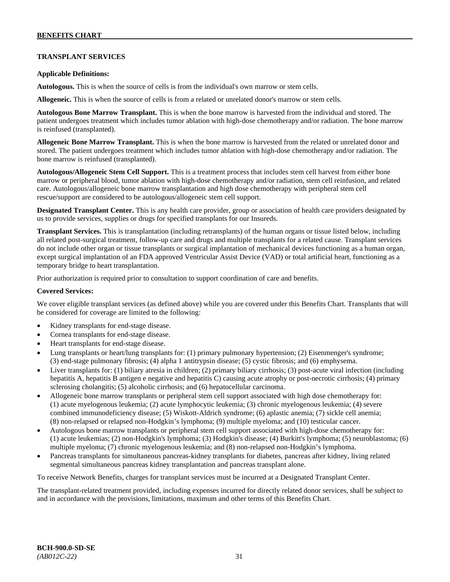# **TRANSPLANT SERVICES**

### **Applicable Definitions:**

**Autologous.** This is when the source of cells is from the individual's own marrow or stem cells.

**Allogeneic.** This is when the source of cells is from a related or unrelated donor's marrow or stem cells.

**Autologous Bone Marrow Transplant.** This is when the bone marrow is harvested from the individual and stored. The patient undergoes treatment which includes tumor ablation with high-dose chemotherapy and/or radiation. The bone marrow is reinfused (transplanted).

**Allogeneic Bone Marrow Transplant.** This is when the bone marrow is harvested from the related or unrelated donor and stored. The patient undergoes treatment which includes tumor ablation with high-dose chemotherapy and/or radiation. The bone marrow is reinfused (transplanted).

**Autologous/Allogeneic Stem Cell Support.** This is a treatment process that includes stem cell harvest from either bone marrow or peripheral blood, tumor ablation with high-dose chemotherapy and/or radiation, stem cell reinfusion, and related care. Autologous/allogeneic bone marrow transplantation and high dose chemotherapy with peripheral stem cell rescue/support are considered to be autologous/allogeneic stem cell support.

**Designated Transplant Center.** This is any health care provider, group or association of health care providers designated by us to provide services, supplies or drugs for specified transplants for our Insureds.

**Transplant Services.** This is transplantation (including retransplants) of the human organs or tissue listed below, including all related post-surgical treatment, follow-up care and drugs and multiple transplants for a related cause. Transplant services do not include other organ or tissue transplants or surgical implantation of mechanical devices functioning as a human organ, except surgical implantation of an FDA approved Ventricular Assist Device (VAD) or total artificial heart, functioning as a temporary bridge to heart transplantation.

Prior authorization is required prior to consultation to support coordination of care and benefits.

### **Covered Services:**

We cover eligible transplant services (as defined above) while you are covered under this Benefits Chart. Transplants that will be considered for coverage are limited to the following:

- Kidney transplants for end-stage disease.
- Cornea transplants for end-stage disease.
- Heart transplants for end-stage disease.
- Lung transplants or heart/lung transplants for: (1) primary pulmonary hypertension; (2) Eisenmenger's syndrome; (3) end-stage pulmonary fibrosis; (4) alpha 1 antitrypsin disease; (5) cystic fibrosis; and (6) emphysema.
- Liver transplants for: (1) biliary atresia in children; (2) primary biliary cirrhosis; (3) post-acute viral infection (including hepatitis A, hepatitis B antigen e negative and hepatitis C) causing acute atrophy or post-necrotic cirrhosis; (4) primary sclerosing cholangitis; (5) alcoholic cirrhosis; and (6) hepatocellular carcinoma.
- Allogeneic bone marrow transplants or peripheral stem cell support associated with high dose chemotherapy for: (1) acute myelogenous leukemia; (2) acute lymphocytic leukemia; (3) chronic myelogenous leukemia; (4) severe combined immunodeficiency disease; (5) Wiskott-Aldrich syndrome; (6) aplastic anemia; (7) sickle cell anemia; (8) non-relapsed or relapsed non-Hodgkin's lymphoma; (9) multiple myeloma; and (10) testicular cancer.
- Autologous bone marrow transplants or peripheral stem cell support associated with high-dose chemotherapy for: (1) acute leukemias; (2) non-Hodgkin's lymphoma; (3) Hodgkin's disease; (4) Burkitt's lymphoma; (5) neuroblastoma; (6) multiple myeloma; (7) chronic myelogenous leukemia; and (8) non-relapsed non-Hodgkin's lymphoma.
- Pancreas transplants for simultaneous pancreas-kidney transplants for diabetes, pancreas after kidney, living related segmental simultaneous pancreas kidney transplantation and pancreas transplant alone.

To receive Network Benefits, charges for transplant services must be incurred at a Designated Transplant Center.

The transplant-related treatment provided, including expenses incurred for directly related donor services, shall be subject to and in accordance with the provisions, limitations, maximum and other terms of this Benefits Chart.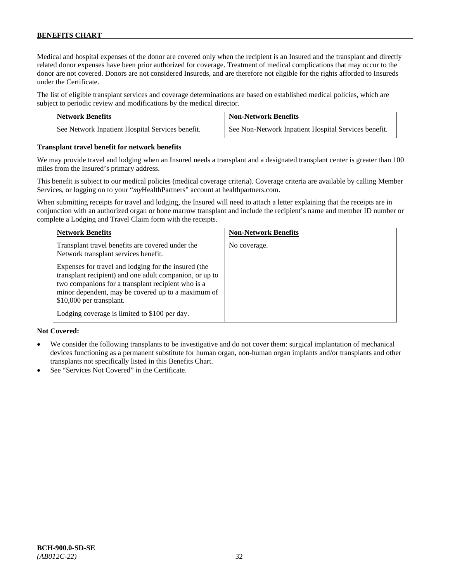Medical and hospital expenses of the donor are covered only when the recipient is an Insured and the transplant and directly related donor expenses have been prior authorized for coverage. Treatment of medical complications that may occur to the donor are not covered. Donors are not considered Insureds, and are therefore not eligible for the rights afforded to Insureds under the Certificate.

The list of eligible transplant services and coverage determinations are based on established medical policies, which are subject to periodic review and modifications by the medical director.

| <b>Network Benefits</b>                          | <b>Non-Network Benefits</b>                          |
|--------------------------------------------------|------------------------------------------------------|
| See Network Inpatient Hospital Services benefit. | See Non-Network Inpatient Hospital Services benefit. |

#### **Transplant travel benefit for network benefits**

We may provide travel and lodging when an Insured needs a transplant and a designated transplant center is greater than 100 miles from the Insured's primary address.

This benefit is subject to our medical policies (medical coverage criteria). Coverage criteria are available by calling Member Services, or logging on to your "*my*HealthPartners" account a[t healthpartners.com.](http://www.healthpartners.com/)

When submitting receipts for travel and lodging, the Insured will need to attach a letter explaining that the receipts are in conjunction with an authorized organ or bone marrow transplant and include the recipient's name and member ID number or complete a Lodging and Travel Claim form with the receipts.

| <b>Network Benefits</b>                                                                                                                                                                                                                                                                                  | <b>Non-Network Benefits</b> |
|----------------------------------------------------------------------------------------------------------------------------------------------------------------------------------------------------------------------------------------------------------------------------------------------------------|-----------------------------|
| Transplant travel benefits are covered under the<br>Network transplant services benefit.                                                                                                                                                                                                                 | No coverage.                |
| Expenses for travel and lodging for the insured (the<br>transplant recipient) and one adult companion, or up to<br>two companions for a transplant recipient who is a<br>minor dependent, may be covered up to a maximum of<br>\$10,000 per transplant.<br>Lodging coverage is limited to \$100 per day. |                             |

# **Not Covered:**

- We consider the following transplants to be investigative and do not cover them: surgical implantation of mechanical devices functioning as a permanent substitute for human organ, non-human organ implants and/or transplants and other transplants not specifically listed in this Benefits Chart.
- See "Services Not Covered" in the Certificate.